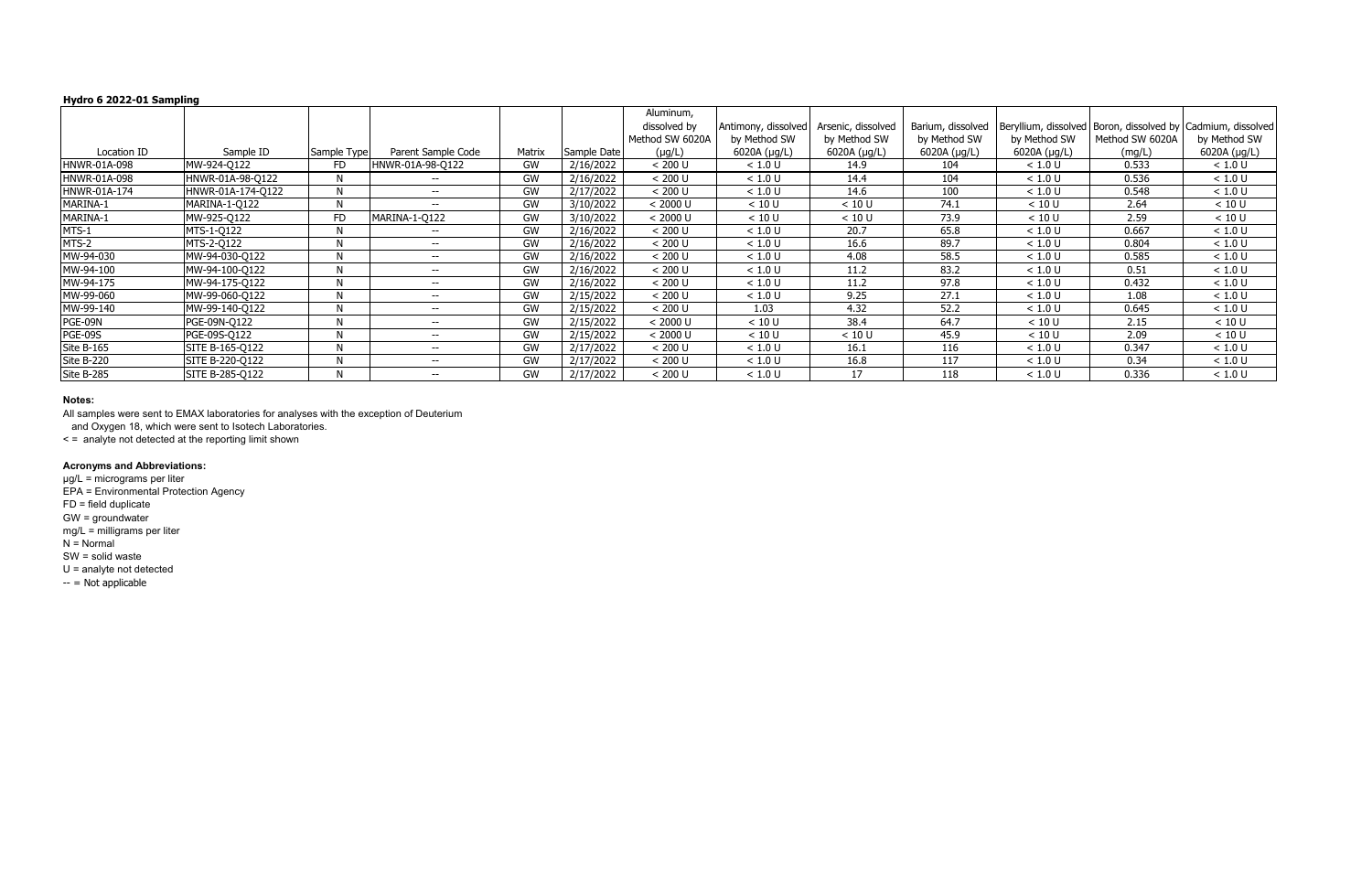|              |                   |             |                    |           |             | Aluminum,       |                     |                    |                   |              |                 |                                                               |
|--------------|-------------------|-------------|--------------------|-----------|-------------|-----------------|---------------------|--------------------|-------------------|--------------|-----------------|---------------------------------------------------------------|
|              |                   |             |                    |           |             | dissolved by    | Antimony, dissolved | Arsenic, dissolved | Barium, dissolved |              |                 | Beryllium, dissolved   Boron, dissolved by Cadmium, dissolved |
|              |                   |             |                    |           |             | Method SW 6020A | by Method SW        | by Method SW       | by Method SW      | by Method SW | Method SW 6020A | by Method SW                                                  |
| Location ID  | Sample ID         | Sample Type | Parent Sample Code | Matrix    | Sample Date | $(\mu g/L)$     | 6020A (µg/L)        | 6020A (µg/L)       | 6020A (µg/L)      | 6020A (µg/L) | (mg/L)          | 6020A (µg/L)                                                  |
| HNWR-01A-098 | MW-924-Q122       | FD          | HNWR-01A-98-Q122   | <b>GW</b> | 2/16/2022   | < 200 U         | < 1.0 U             | 14.9               | 104               | < 1.0 U      | 0.533           | < 1.0 U                                                       |
| HNWR-01A-098 | HNWR-01A-98-Q122  | N           | $- -$              | <b>GW</b> | 2/16/2022   | < 200 U         | < 1.0 U             | 14.4               | 104               | < 1.0 U      | 0.536           | < 1.0 U                                                       |
| HNWR-01A-174 | HNWR-01A-174-0122 | N           | $- -$              | GW        | 2/17/2022   | < 200 U         | < 1.0 U             | 14.6               | 100               | < 1.0 U      | 0.548           | < 1.0 U                                                       |
| MARINA-1     | MARINA-1-Q122     | N           | $--$               | <b>GW</b> | 3/10/2022   | < 2000 U        | < 10 U              | < 10 U             | 74.1              | < 10 U       | 2.64            | < 10 U                                                        |
| MARINA-1     | MW-925-Q122       | FD          | MARINA-1-Q122      | GW        | 3/10/2022   | < 2000 U        | < 10 U              | < 10 U             | 73.9              | < 10 U       | 2.59            | < 10 U                                                        |
| MTS-1        | MTS-1-Q122        | N           | $--$               | GW        | 2/16/2022   | < 200 U         | < 1.0 U             | 20.7               | 65.8              | < 1.0 U      | 0.667           | < 1.0 U                                                       |
| MTS-2        | MTS-2-Q122        | N           | $- -$              | GW        | 2/16/2022   | < 200 U         | < 1.0 U             | 16.6               | 89.7              | < 1.0 U      | 0.804           | < 1.0 U                                                       |
| MW-94-030    | MW-94-030-Q122    | N           | $- -$              | GW        | 2/16/2022   | < 200 U         | < 1.0 U             | 4.08               | 58.5              | < 1.0 U      | 0.585           | < 1.0 U                                                       |
| MW-94-100    | MW-94-100-Q122    | N           | $--$               | GW        | 2/16/2022   | < 200 U         | < 1.0 U             | 11.2               | 83.2              | < 1.0 U      | 0.51            | < 1.0 U                                                       |
| MW-94-175    | MW-94-175-Q122    | N           | $--$               | GW        | 2/16/2022   | < 200 U         | < 1.0 U             | 11.2               | 97.8              | < 1.0 U      | 0.432           | < 1.0 U                                                       |
| MW-99-060    | MW-99-060-Q122    | N           | $--$               | GW        | 2/15/2022   | < 200 U         | < 1.0 U             | 9.25               | 27.1              | < 1.0 U      | 1.08            | < 1.0 U                                                       |
| MW-99-140    | MW-99-140-Q122    | N           | $--$               | <b>GW</b> | 2/15/2022   | < 200 U         | 1.03                | 4.32               | 52.2              | < 1.0 U      | 0.645           | < 1.0 U                                                       |
| PGE-09N      | PGE-09N-Q122      | N           | $- -$              | GW        | 2/15/2022   | < 2000 U        | < 10 U              | 38.4               | 64.7              | < 10 U       | 2.15            | < 10 U                                                        |
| PGE-09S      | PGE-09S-Q122      | N           | $- -$              | GW        | 2/15/2022   | < 2000 U        | < 10 U              | < 10 U             | 45.9              | < 10 U       | 2.09            | < 10 U                                                        |
| Site B-165   | SITE B-165-Q122   | N.          | $--$               | <b>GW</b> | 2/17/2022   | < 200 U         | < 1.0 U             | 16.1               | 116               | < 1.0 U      | 0.347           | < 1.0 U                                                       |
| Site B-220   | SITE B-220-Q122   | N           | $-$                | GW        | 2/17/2022   | < 200 U         | < 1.0 U             | 16.8               | 117               | < 1.0 U      | 0.34            | < 1.0 U                                                       |
| Site B-285   | SITE B-285-Q122   | N           | $-$                | <b>GW</b> | 2/17/2022   | < 200 U         | < 1.0 U             | 17                 | 118               | < 1.0 U      | 0.336           | < 1.0 U                                                       |

µg/L = micrograms per liter EPA = Environmental Protection Agency FD = field duplicate GW = groundwater mg/L = milligrams per liter  $N =$  Normal SW = solid waste U = analyte not detected  $- =$  Not applicable

### **Notes:**

All samples were sent to EMAX laboratories for analyses with the exception of Deuterium

and Oxygen 18, which were sent to Isotech Laboratories.

< = analyte not detected at the reporting limit shown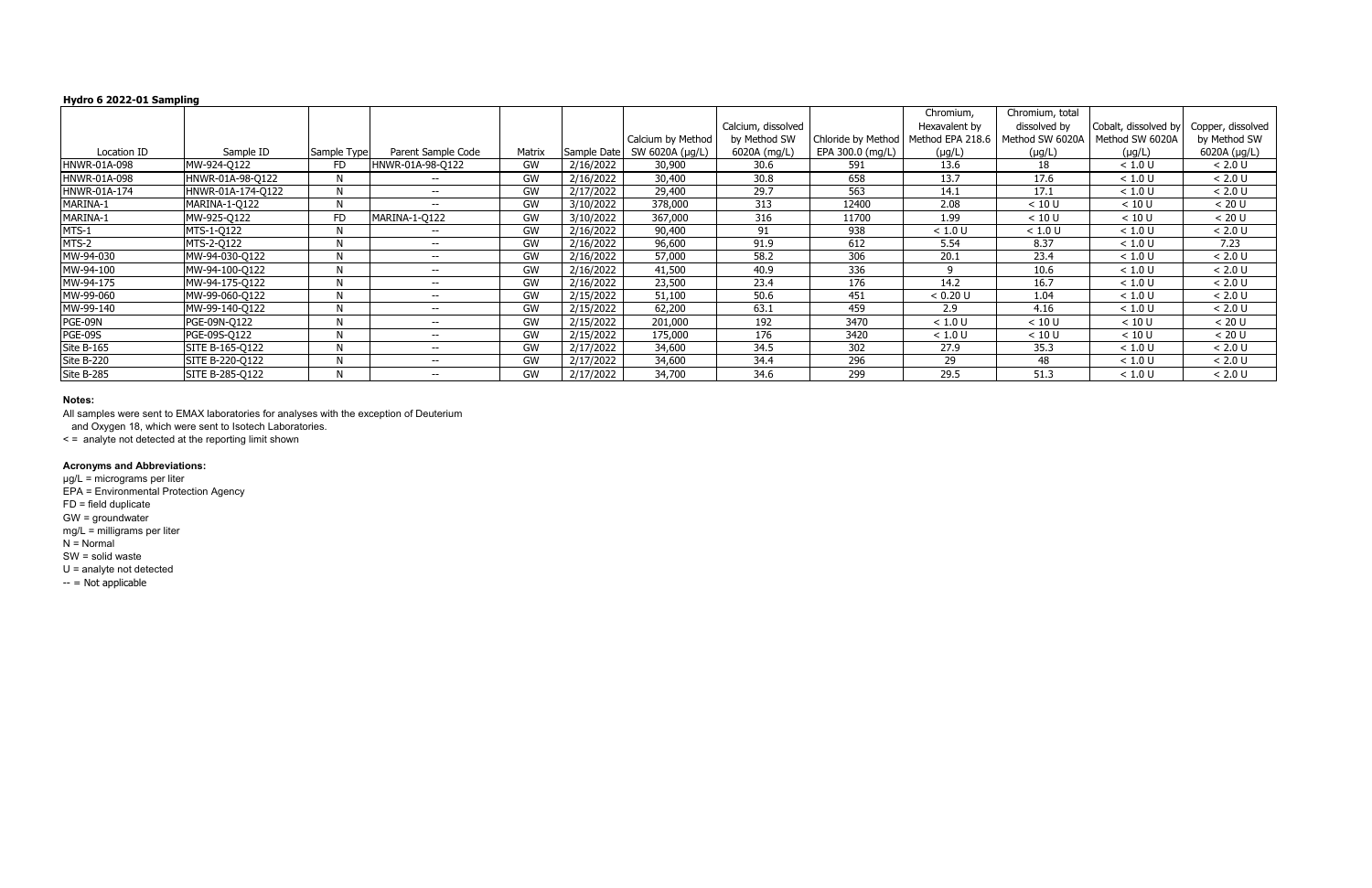|              |                   |             |                          |           |             |                   |                    |                    | Chromium,        | Chromium, total |                      |                   |
|--------------|-------------------|-------------|--------------------------|-----------|-------------|-------------------|--------------------|--------------------|------------------|-----------------|----------------------|-------------------|
|              |                   |             |                          |           |             |                   | Calcium, dissolved |                    | Hexavalent by    | dissolved by    | Cobalt, dissolved by | Copper, dissolved |
|              |                   |             |                          |           |             | Calcium by Method | by Method SW       | Chloride by Method | Method EPA 218.6 | Method SW 6020A | Method SW 6020A      | by Method SW      |
| Location ID  | Sample ID         | Sample Type | Parent Sample Code       | Matrix    | Sample Date | SW 6020A (µg/L)   | 6020A (mg/L)       | EPA 300.0 (mg/L)   | $(\mu g/L)$      | $(\mu g/L)$     | $(\mu g/L)$          | 6020A (µg/L)      |
| HNWR-01A-098 | MW-924-Q122       | FD          | HNWR-01A-98-Q122         | <b>GW</b> | 2/16/2022   | 30,900            | 30.6               | 591                | 13.6             | 18              | < 1.0 U              | < 2.0 U           |
|              |                   |             |                          |           |             |                   |                    |                    |                  |                 |                      |                   |
| HNWR-01A-098 | HNWR-01A-98-Q122  |             | $\overline{\phantom{m}}$ | GW        | 2/16/2022   | 30,400            | 30.8               | 658                | 13.7             | 17.6            | < 1.0 U              | $< 2.0 U$         |
| HNWR-01A-174 | HNWR-01A-174-Q122 |             | $\overline{\phantom{m}}$ | GW        | 2/17/2022   | 29,400            | 29.7               | 563                | 14.1             | 17.1            | < 1.0 U              | < 2.0 U           |
| MARINA-1     | MARINA-1-Q122     |             | $\overline{\phantom{m}}$ | GW        | 3/10/2022   | 378,000           | 313                | 12400              | 2.08             | < 10 U          | < 10 U               | < 20 U            |
| MARINA-1     | MW-925-Q122       | FD          | MARINA-1-Q122            | <b>GW</b> | 3/10/2022   | 367,000           | 316                | 11700              | 1.99             | < 10 U          | < 10 U               | < 20 U            |
| MTS-1        | MTS-1-Q122        |             | $\overline{\phantom{m}}$ | GW        | 2/16/2022   | 90,400            | 91                 | 938                | < 1.0 U          | < 1.0 U         | < 1.0 U              | < 2.0 U           |
| MTS-2        | MTS-2-Q122        |             | $\overline{\phantom{m}}$ | <b>GW</b> | 2/16/2022   | 96,600            | 91.9               | 612                | 5.54             | 8.37            | < 1.0 U              | 7.23              |
| MW-94-030    | MW-94-030-Q122    |             | $\overline{\phantom{m}}$ | GW        | 2/16/2022   | 57,000            | 58.2               | 306                | 20.1             | 23.4            | < 1.0 U              | < 2.0 U           |
| MW-94-100    | MW-94-100-Q122    | N           | $\overline{\phantom{m}}$ | GW        | 2/16/2022   | 41,500            | 40.9               | 336                |                  | 10.6            | < 1.0 U              | < 2.0 U           |
| MW-94-175    | MW-94-175-Q122    |             | $\overline{\phantom{m}}$ | GW        | 2/16/2022   | 23,500            | 23.4               | 176                | 14.2             | 16.7            | < 1.0 U              | < 2.0 U           |
| MW-99-060    | MW-99-060-Q122    |             | $\overline{\phantom{m}}$ | GW        | 2/15/2022   | 51,100            | 50.6               | 451                | < 0.20 U         | 1.04            | < 1.0 U              | < 2.0 U           |
| MW-99-140    | MW-99-140-Q122    | N           | $\overline{\phantom{m}}$ | GW        | 2/15/2022   | 62,200            | 63.1               | 459                | 2.9              | 4.16            | < 1.0 U              | $< 2.0 U$         |
| PGE-09N      | PGE-09N-Q122      | N           | $\overline{\phantom{m}}$ | <b>GW</b> | 2/15/2022   | 201,000           | 192                | 3470               | < 1.0 U          | < 10 U          | < 10 U               | < 20 U            |
| PGE-09S      | PGE-09S-Q122      | N           | $\overline{\phantom{m}}$ | GW        | 2/15/2022   | 175,000           | 176                | 3420               | < 1.0 U          | < 10 U          | < 10 U               | < 20 U            |
| Site B-165   | SITE B-165-Q122   |             | $\overline{\phantom{m}}$ | GW        | 2/17/2022   | 34,600            | 34.5               | 302                | 27.9             | 35.3            | < 1.0 U              | < 2.0 U           |
| Site B-220   | SITE B-220-Q122   |             | $\overline{\phantom{m}}$ | GW        | 2/17/2022   | 34,600            | 34.4               | 296                | 29               | 48              | < 1.0 U              | $< 2.0 U$         |
| Site B-285   | SITE B-285-Q122   |             | $\overline{\phantom{m}}$ | <b>GW</b> | 2/17/2022   | 34,700            | 34.6               | 299                | 29.5             | 51.3            | < 1.0 U              | < 2.0 U           |

µg/L = micrograms per liter EPA = Environmental Protection Agency FD = field duplicate GW = groundwater mg/L = milligrams per liter  $N =$  Normal SW = solid waste U = analyte not detected  $-$  = Not applicable

### **Notes:**

All samples were sent to EMAX laboratories for analyses with the exception of Deuterium

and Oxygen 18, which were sent to Isotech Laboratories.

< = analyte not detected at the reporting limit shown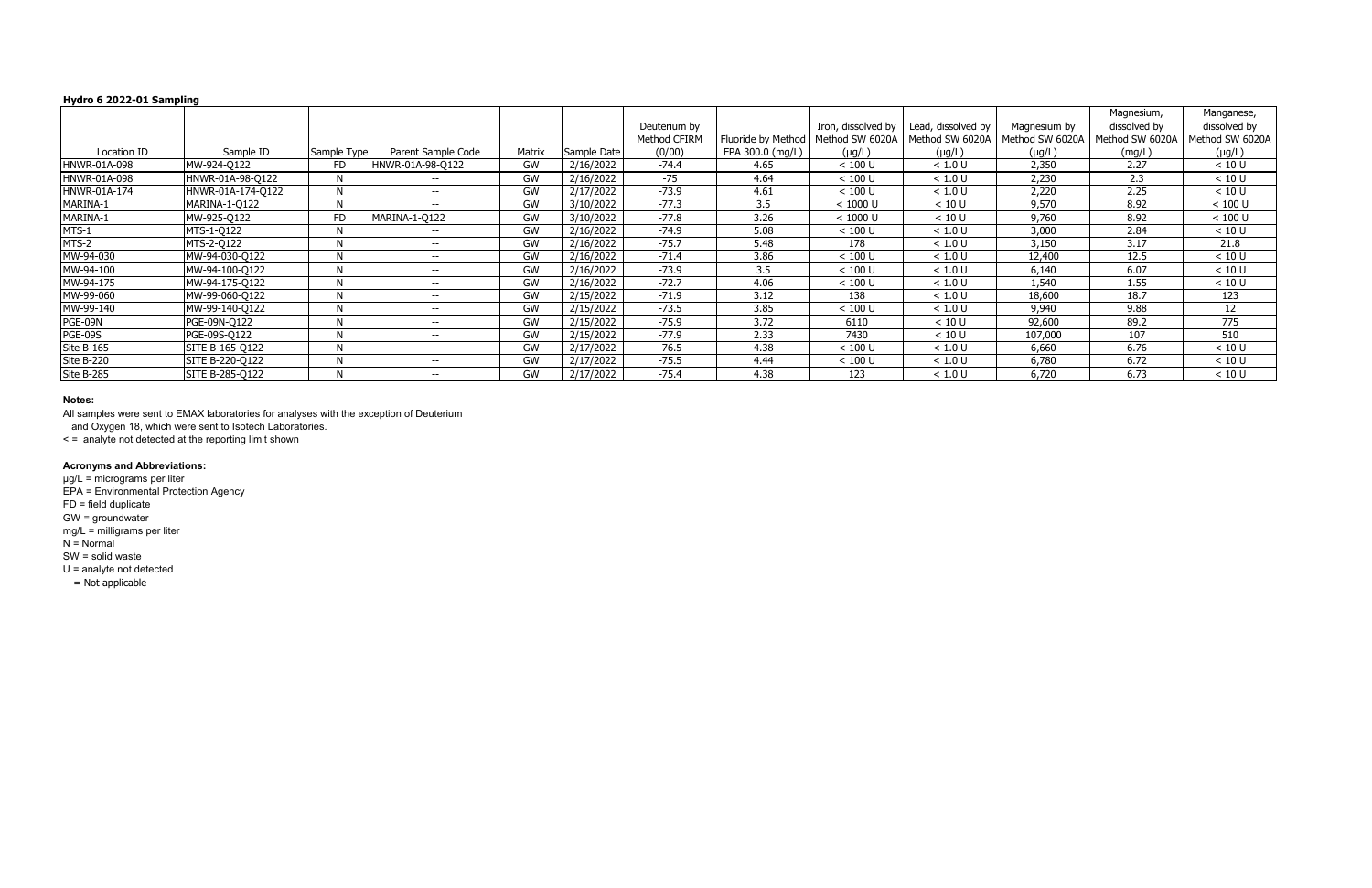|              |                   |             |                          |           |             |              |                    |                    |                    |                 | Magnesium,      | Manganese,      |
|--------------|-------------------|-------------|--------------------------|-----------|-------------|--------------|--------------------|--------------------|--------------------|-----------------|-----------------|-----------------|
|              |                   |             |                          |           |             | Deuterium by |                    | Iron, dissolved by | Lead, dissolved by | Magnesium by    | dissolved by    | dissolved by    |
|              |                   |             |                          |           |             | Method CFIRM | Fluoride by Method | Method SW 6020A    | Method SW 6020A    | Method SW 6020A | Method SW 6020A | Method SW 6020A |
| Location ID  | Sample ID         | Sample Type | Parent Sample Code       | Matrix    | Sample Date | (0/00)       | EPA 300.0 (mg/L)   | $(\mu g/L)$        | $(\mu g/L)$        | $(\mu g/L)$     | (mg/L)          | $(\mu g/L)$     |
| HNWR-01A-098 | MW-924-Q122       | FD          | HNWR-01A-98-Q122         | GW        | 2/16/2022   | $-74.4$      | 4.65               | $< 100$ U          | < 1.0 U            | 2,350           | 2.27            | < 10 U          |
| HNWR-01A-098 | HNWR-01A-98-Q122  | N           | $- -$                    | GW        | 2/16/2022   | $-75$        | 4.64               | $< 100$ U          | < 1.0 U            | 2,230           | 2.3             | < 10 U          |
| HNWR-01A-174 | HNWR-01A-174-Q122 |             | $- -$                    | GW        | 2/17/2022   | $-73.9$      | 4.61               | $< 100$ U          | < 1.0 U            | 2,220           | 2.25            | < 10 U          |
| MARINA-1     | MARINA-1-Q122     | N           | $- -$                    | GW        | 3/10/2022   | $-77.3$      | 3.5                | < 1000 U           | < 10 U             | 9,570           | 8.92            | $< 100$ U       |
| MARINA-1     | MW-925-Q122       | <b>FD</b>   | MARINA-1-Q122            | GW        | 3/10/2022   | $-77.8$      | 3.26               | < 1000 U           | < 10 U             | 9,760           | 8.92            | $< 100$ U       |
| MTS-1        | MTS-1-Q122        | N           | $\overline{\phantom{a}}$ | GW        | 2/16/2022   | $-74.9$      | 5.08               | $< 100$ U          | < 1.0 U            | 3,000           | 2.84            | < 10 U          |
| MTS-2        | MTS-2-Q122        | N           | $- -$                    | GW        | 2/16/2022   | $-75.7$      | 5.48               | 178                | < 1.0 U            | 3,150           | 3.17            | 21.8            |
| MW-94-030    | MW-94-030-Q122    | N           | $- -$                    | GW        | 2/16/2022   | $-71.4$      | 3.86               | $< 100$ U          | < 1.0 U            | 12,400          | 12.5            | < 10 U          |
| MW-94-100    | MW-94-100-Q122    |             | $- -$                    | GW        | 2/16/2022   | $-73.9$      | 3.5                | $< 100$ U          | < 1.0 U            | 6,140           | 6.07            | < 10 U          |
| MW-94-175    | MW-94-175-Q122    | N           | $\overline{\phantom{m}}$ | GW        | 2/16/2022   | $-72.7$      | 4.06               | $< 100$ U          | < 1.0 U            | 1,540           | 1.55            | < 10 U          |
| MW-99-060    | MW-99-060-Q122    |             | $\overline{\phantom{m}}$ | GW        | 2/15/2022   | $-71.9$      | 3.12               | 138                | < 1.0 U            | 18,600          | 18.7            | 123             |
| MW-99-140    | MW-99-140-Q122    | N           | $\overline{\phantom{m}}$ | GW        | 2/15/2022   | $-73.5$      | 3.85               | $< 100$ U          | < 1.0 U            | 9,940           | 9.88            | 12              |
| PGE-09N      | PGE-09N-Q122      | N           | $\overline{\phantom{m}}$ | GW        | 2/15/2022   | $-75.9$      | 3.72               | 6110               | < 10 U             | 92,600          | 89.2            | 775             |
| PGE-09S      | PGE-09S-Q122      | N           | $- -$                    | GW        | 2/15/2022   | $-77.9$      | 2.33               | 7430               | < 10 U             | 107,000         | 107             | 510             |
| Site B-165   | SITE B-165-Q122   | N           | $- -$                    | GW        | 2/17/2022   | $-76.5$      | 4.38               | $< 100$ U          | < 1.0 U            | 6,660           | 6.76            | < 10 U          |
| Site B-220   | SITE B-220-Q122   | N           | $- -$                    | GW        | 2/17/2022   | $-75.5$      | 4.44               | $< 100$ U          | < 1.0 U            | 6,780           | 6.72            | < 10 U          |
| Site B-285   | SITE B-285-Q122   |             | $\overline{\phantom{m}}$ | <b>GW</b> | 2/17/2022   | $-75.4$      | 4.38               | 123                | < 1.0 U            | 6,720           | 6.73            | < 10 U          |

µg/L = micrograms per liter EPA = Environmental Protection Agency FD = field duplicate GW = groundwater mg/L = milligrams per liter  $N =$  Normal SW = solid waste U = analyte not detected  $-$  = Not applicable

### **Notes:**

All samples were sent to EMAX laboratories for analyses with the exception of Deuterium

and Oxygen 18, which were sent to Isotech Laboratories.

< = analyte not detected at the reporting limit shown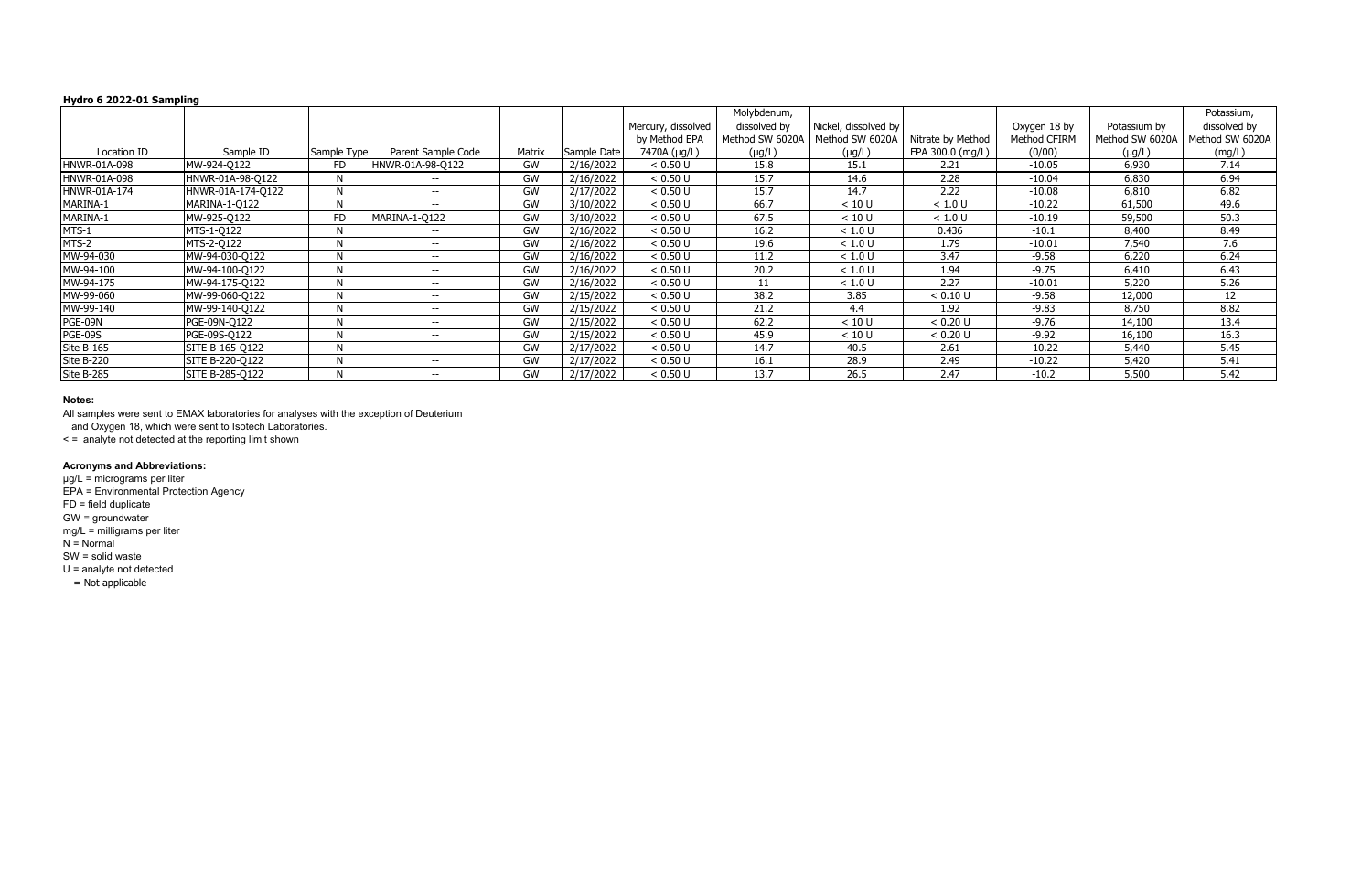|                |                   |             |                          |           |             |                    | Molybdenum,     |                      |                   |              |                 | Potassium,      |
|----------------|-------------------|-------------|--------------------------|-----------|-------------|--------------------|-----------------|----------------------|-------------------|--------------|-----------------|-----------------|
|                |                   |             |                          |           |             | Mercury, dissolved | dissolved by    | Nickel, dissolved by |                   | Oxygen 18 by | Potassium by    | dissolved by    |
|                |                   |             |                          |           |             | by Method EPA      | Method SW 6020A | Method SW 6020A      | Nitrate by Method | Method CFIRM | Method SW 6020A | Method SW 6020A |
| Location ID    | Sample ID         | Sample Type | Parent Sample Code       | Matrix    | Sample Date | 7470A (µg/L)       | $(\mu g/L)$     | $(\mu g/L)$          | EPA 300.0 (mg/L)  | (0/00)       | $(\mu g/L)$     | (mg/L)          |
| HNWR-01A-098   | MW-924-Q122       | FD          | HNWR-01A-98-Q122         | GW        | 2/16/2022   | < 0.50 U           | 15.8            | 15.1                 | 2.21              | $-10.05$     | 6,930           | 7.14            |
| HNWR-01A-098   | HNWR-01A-98-Q122  |             | $\overline{\phantom{a}}$ | GW        | 2/16/2022   | < 0.50 U           | 15.7            | 14.6                 | 2.28              | $-10.04$     | 6,830           | 6.94            |
| HNWR-01A-174   | HNWR-01A-174-Q122 |             | $\overline{\phantom{m}}$ | GW        | 2/17/2022   | < 0.50 U           | 15.7            | 14.7                 | 2.22              | $-10.08$     | 6,810           | 6.82            |
| MARINA-1       | MARINA-1-Q122     | N           | $\overline{\phantom{m}}$ | GW        | 3/10/2022   | < 0.50 U           | 66.7            | < 10 U               | < 1.0 U           | $-10.22$     | 61,500          | 49.6            |
| MARINA-1       | MW-925-Q122       | <b>FD</b>   | MARINA-1-Q122            | GW        | 3/10/2022   | < 0.50 U           | 67.5            | < 10 U               | < 1.0 U           | $-10.19$     | 59,500          | 50.3            |
| MTS-1          | MTS-1-Q122        | N           | $- -$                    | GW        | 2/16/2022   | < 0.50 U           | 16.2            | < 1.0 U              | 0.436             | $-10.1$      | 8,400           | 8.49            |
| MTS-2          | MTS-2-Q122        | N           | $- -$                    | GW        | 2/16/2022   | < 0.50 U           | 19.6            | < 1.0 U              | 1.79              | $-10.01$     | 7,540           | 7.6             |
| MW-94-030      | MW-94-030-Q122    | N           | $- -$                    | GW        | 2/16/2022   | < 0.50 U           | 11.2            | < 1.0 U              | 3.47              | $-9.58$      | 6,220           | 6.24            |
| MW-94-100      | MW-94-100-Q122    | N           | $- -$                    | GW        | 2/16/2022   | < 0.50 U           | 20.2            | < 1.0 U              | 1.94              | $-9.75$      | 6,410           | 6.43            |
| MW-94-175      | MW-94-175-Q122    | <b>N</b>    | $\overline{\phantom{m}}$ | GW        | 2/16/2022   | < 0.50 U           | 11              | < 1.0 U              | 2.27              | $-10.01$     | 5,220           | 5.26            |
| MW-99-060      | MW-99-060-Q122    | N           | $- -$                    | GW        | 2/15/2022   | < 0.50 U           | 38.2            | 3.85                 | < 0.10 U          | $-9.58$      | 12,000          | 12              |
| MW-99-140      | MW-99-140-Q122    | N           | $\overline{\phantom{m}}$ | GW        | 2/15/2022   | < 0.50 U           | 21.2            | 4.4                  | 1.92              | $-9.83$      | 8,750           | 8.82            |
| PGE-09N        | PGE-09N-Q122      | N           | $\overline{\phantom{m}}$ | <b>GW</b> | 2/15/2022   | < 0.50 U           | 62.2            | < 10 U               | < 0.20 U          | $-9.76$      | 14,100          | 13.4            |
| <b>PGE-09S</b> | PGE-09S-Q122      |             | $\overline{\phantom{m}}$ | GW        | 2/15/2022   | < 0.50 U           | 45.9            | < 10 U               | < 0.20 U          | $-9.92$      | 16,100          | 16.3            |
| Site B-165     | SITE B-165-Q122   | N           | $\overline{\phantom{m}}$ | GW        | 2/17/2022   | < 0.50 U           | 14.7            | 40.5                 | 2.61              | $-10.22$     | 5,440           | 5.45            |
| Site B-220     | SITE B-220-Q122   |             | $\overline{\phantom{m}}$ | GW        | 2/17/2022   | < 0.50 U           | 16.1            | 28.9                 | 2.49              | $-10.22$     | 5,420           | 5.41            |
| Site B-285     | SITE B-285-Q122   |             | $\overline{\phantom{m}}$ | GW        | 2/17/2022   | < 0.50 U           | 13.7            | 26.5                 | 2.47              | $-10.2$      | 5,500           | 5.42            |

µg/L = micrograms per liter EPA = Environmental Protection Agency FD = field duplicate GW = groundwater mg/L = milligrams per liter  $N =$  Normal SW = solid waste U = analyte not detected  $- =$  Not applicable

#### **Notes:**

All samples were sent to EMAX laboratories for analyses with the exception of Deuterium

and Oxygen 18, which were sent to Isotech Laboratories.

< = analyte not detected at the reporting limit shown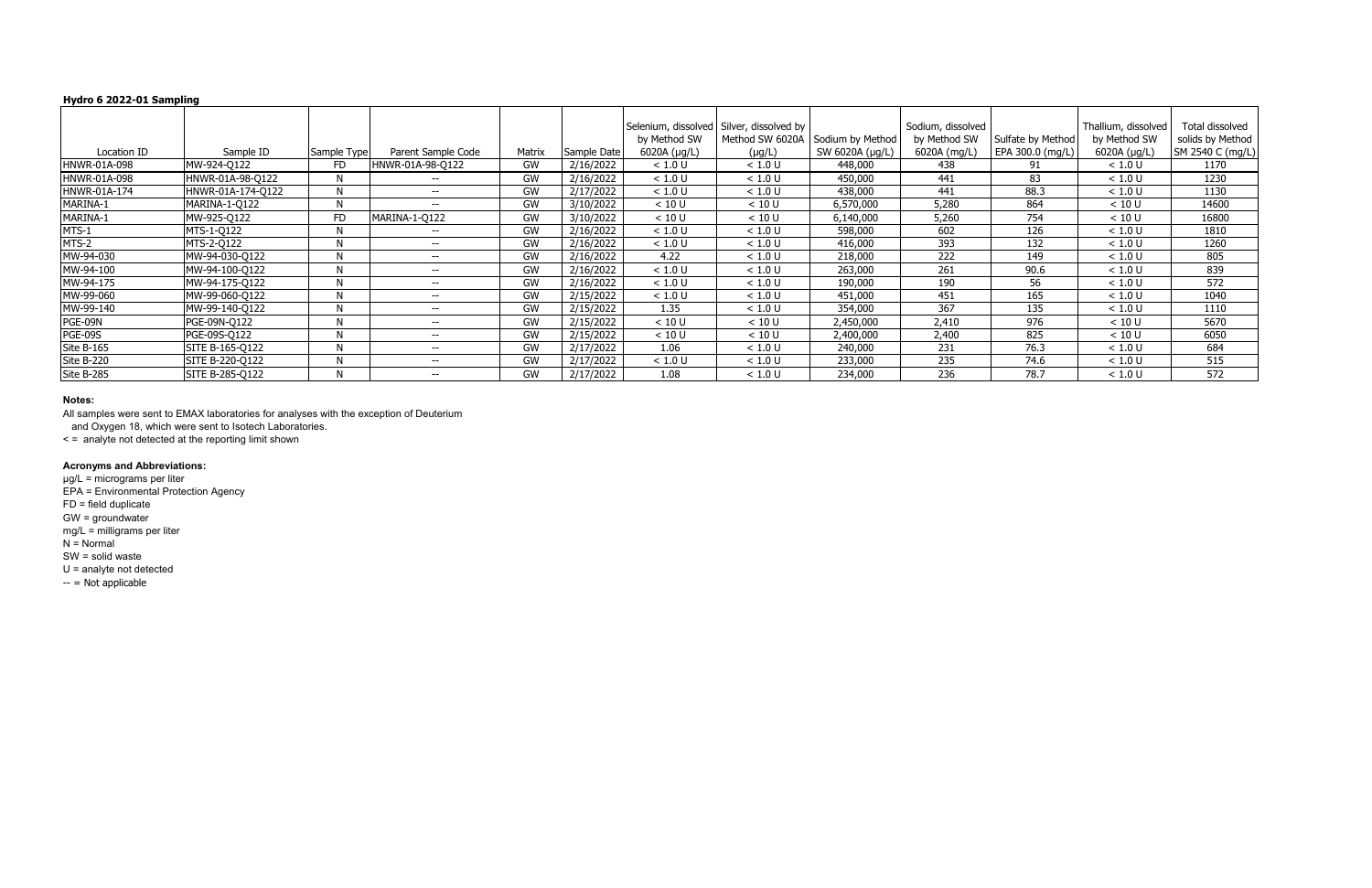|                |                   |             |                    |        |             |              | Selenium, dissolved Silver, dissolved by |                                  | Sodium, dissolved |                   | Thallium, dissolved | Total dissolved  |
|----------------|-------------------|-------------|--------------------|--------|-------------|--------------|------------------------------------------|----------------------------------|-------------------|-------------------|---------------------|------------------|
|                |                   |             |                    |        |             | by Method SW |                                          | Method SW 6020A Sodium by Method | by Method SW      | Sulfate by Method | by Method SW        | solids by Method |
| Location ID    | Sample ID         | Sample Type | Parent Sample Code | Matrix | Sample Date | 6020A (µg/L) | $(\mu g/L)$                              | SW 6020A (µg/L)                  | 6020A (mg/L)      | EPA 300.0 (mg/L)  | 6020A (µg/L)        | SM 2540 C (mg/L) |
| HNWR-01A-098   | MW-924-Q122       | FD.         | HNWR-01A-98-Q122   | GW     | 2/16/2022   | < 1.0 U      | < 1.0 U                                  | 448,000                          | 438               | 91                | < 1.0 U             | 1170             |
| HNWR-01A-098   | HNWR-01A-98-Q122  |             | $- -$              | GW     | 2/16/2022   | < 1.0 U      | < 1.0 U                                  | 450,000                          | 441               | 83                | < 1.0 U             | 1230             |
| HNWR-01A-174   | HNWR-01A-174-Q122 | N           | $- -$              | GW     | 2/17/2022   | < 1.0 U      | < 1.0 U                                  | 438,000                          | 441               | 88.3              | < 1.0 U             | 1130             |
| MARINA-1       | MARINA-1-Q122     | N           | --                 | GW     | 3/10/2022   | < 10 U       | < 10 U                                   | 6,570,000                        | 5,280             | 864               | < 10 U              | 14600            |
| MARINA-1       | MW-925-Q122       | <b>FD</b>   | MARINA-1-Q122      | GW     | 3/10/2022   | < 10 U       | < 10 U                                   | 6,140,000                        | 5,260             | 754               | < 10 U              | 16800            |
| MTS-1          | MTS-1-Q122        | N           | $- -$              | GW     | 2/16/2022   | < 1.0 U      | < 1.0 U                                  | 598,000                          | 602               | 126               | < 1.0 U             | 1810             |
| MTS-2          | MTS-2-Q122        | N           | $- -$              | GW     | 2/16/2022   | < 1.0 U      | < 1.0 U                                  | 416,000                          | 393               | 132               | < 1.0 U             | 1260             |
| MW-94-030      | MW-94-030-Q122    | N           | $- -$              | GW     | 2/16/2022   | 4.22         | < 1.0 U                                  | 218,000                          | 222               | 149               | < 1.0 U             | 805              |
| MW-94-100      | MW-94-100-Q122    | N           | $- -$              | GW     | 2/16/2022   | < 1.0 U      | < 1.0 U                                  | 263,000                          | 261               | 90.6              | < 1.0 U             | 839              |
| MW-94-175      | MW-94-175-Q122    | N           | $- -$              | GW     | 2/16/2022   | < 1.0 U      | < 1.0 U                                  | 190,000                          | 190               | 56                | < 1.0 U             | 572              |
| MW-99-060      | MW-99-060-Q122    | N           | $- -$              | GW     | 2/15/2022   | < 1.0 U      | < 1.0 U                                  | 451,000                          | 451               | 165               | < 1.0 U             | 1040             |
| MW-99-140      | MW-99-140-Q122    | N           | $- -$              | GW     | 2/15/2022   | 1.35         | < 1.0 U                                  | 354,000                          | 367               | 135               | < 1.0 U             | 1110             |
| PGE-09N        | PGE-09N-Q122      | N           | $- -$              | GW     | 2/15/2022   | < 10 U       | < 10 U                                   | 2,450,000                        | 2,410             | 976               | < 10 U              | 5670             |
| <b>PGE-09S</b> | PGE-09S-Q122      | N           | $- -$              | GW     | 2/15/2022   | < 10 U       | < 10 U                                   | 2,400,000                        | 2,400             | 825               | < 10 U              | 6050             |
| Site B-165     | SITE B-165-Q122   | N           | $- -$              | GW     | 2/17/2022   | 1.06         | < 1.0 U                                  | 240,000                          | 231               | 76.3              | < 1.0 U             | 684              |
| Site B-220     | SITE B-220-Q122   | N           | $- -$              | GW     | 2/17/2022   | < 1.0 U      | < 1.0 U                                  | 233,000                          | 235               | 74.6              | < 1.0 U             | 515              |
| Site B-285     | SITE B-285-Q122   |             | $- -$              | GW     | 2/17/2022   | 1.08         | < 1.0 U                                  | 234,000                          | 236               | 78.7              | < 1.0 U             | 572              |

µg/L = micrograms per liter EPA = Environmental Protection Agency FD = field duplicate GW = groundwater mg/L = milligrams per liter  $N =$  Normal SW = solid waste U = analyte not detected  $-$  = Not applicable

### **Notes:**

All samples were sent to EMAX laboratories for analyses with the exception of Deuterium

and Oxygen 18, which were sent to Isotech Laboratories.

< = analyte not detected at the reporting limit shown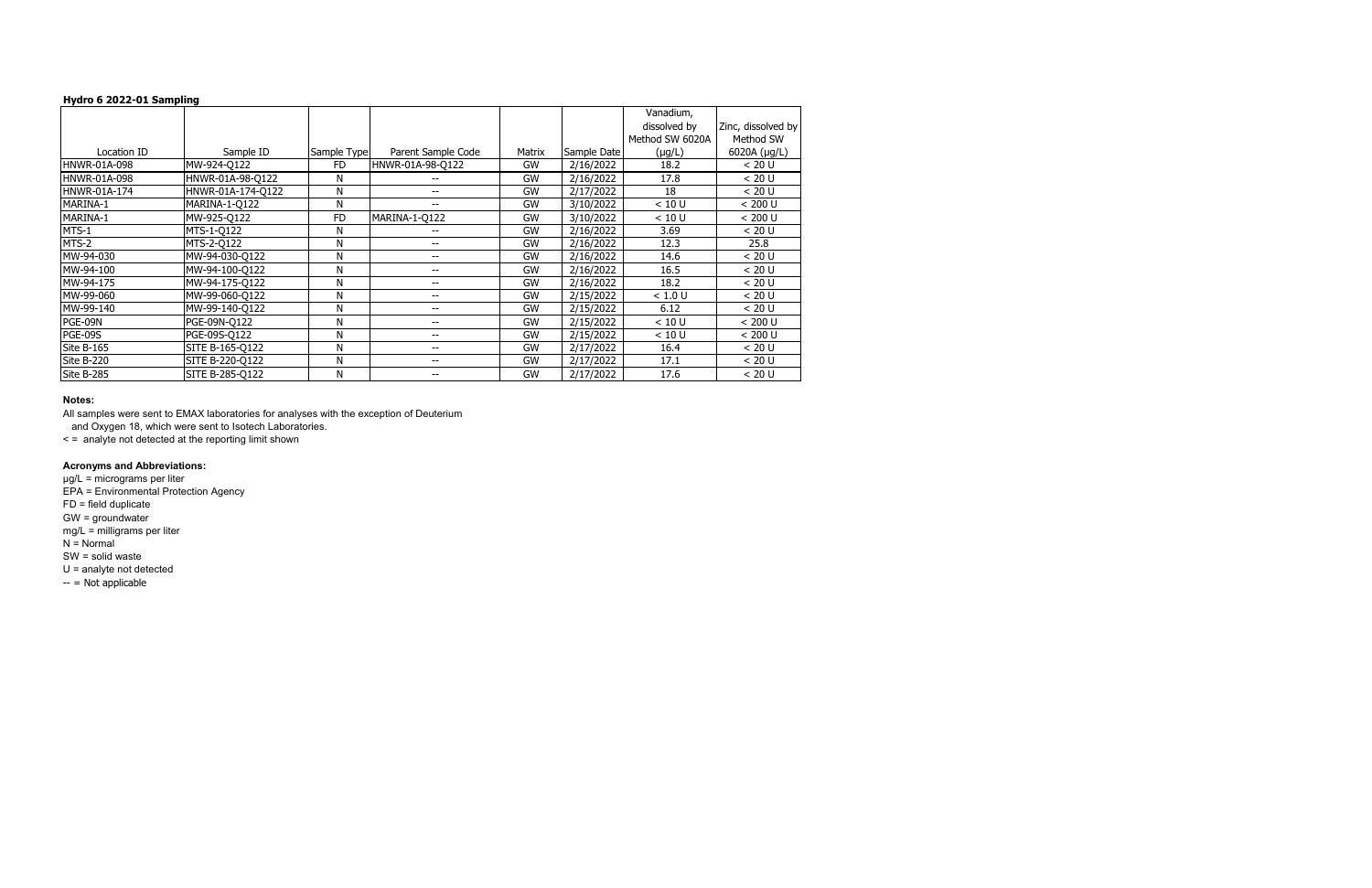|                     |                   |             |                          |           |             | Vanadium,       |                    |
|---------------------|-------------------|-------------|--------------------------|-----------|-------------|-----------------|--------------------|
|                     |                   |             |                          |           |             | dissolved by    | Zinc, dissolved by |
|                     |                   |             |                          |           |             | Method SW 6020A | Method SW          |
| Location ID         | Sample ID         | Sample Type | Parent Sample Code       | Matrix    | Sample Date | $(\mu g/L)$     | 6020A (µg/L)       |
| <b>HNWR-01A-098</b> | MW-924-Q122       | <b>FD</b>   | HNWR-01A-98-Q122         | <b>GW</b> | 2/16/2022   | 18.2            | < 20 U             |
| HNWR-01A-098        | HNWR-01A-98-Q122  | N           |                          | GW        | 2/16/2022   | 17.8            | < 20 U             |
| HNWR-01A-174        | HNWR-01A-174-Q122 | N           | --                       | GW        | 2/17/2022   | 18              | < 20 U             |
| MARINA-1            | MARINA-1-Q122     | N           | --                       | GW        | 3/10/2022   | < 10 U          | < 200∪             |
| MARINA-1            | MW-925-Q122       | <b>FD</b>   | MARINA-1-Q122            | GW        | 3/10/2022   | < 10 U          | < 200 U            |
| MTS-1               | MTS-1-Q122        | N           |                          | GW        | 2/16/2022   | 3.69            | < 20 U             |
| MTS-2               | MTS-2-Q122        | Ν           | --                       | GW        | 2/16/2022   | 12.3            | 25.8               |
| MW-94-030           | MW-94-030-Q122    | Ν           | $\overline{\phantom{a}}$ | GW        | 2/16/2022   | 14.6            | < 20 U             |
| MW-94-100           | MW-94-100-O122    | Ν           | --                       | GW        | 2/16/2022   | 16.5            | < 20 U             |
| MW-94-175           | MW-94-175-Q122    | N           | $\overline{\phantom{a}}$ | GW        | 2/16/2022   | 18.2            | < 20 U             |
| MW-99-060           | MW-99-060-Q122    | Ν           | --                       | <b>GW</b> | 2/15/2022   | < 1.0 U         | < 20 U             |
| MW-99-140           | MW-99-140-Q122    | Ν           | $\overline{\phantom{a}}$ | GW        | 2/15/2022   | 6.12            | < 20 U             |
| PGE-09N             | PGE-09N-Q122      | Ν           | --                       | GW        | 2/15/2022   | < 10 U          | < 200∪             |
| <b>PGE-09S</b>      | PGE-09S-Q122      | Ν           | $\overline{\phantom{a}}$ | GW        | 2/15/2022   | < 10 U          | < 200 U            |
| Site B-165          | SITE B-165-Q122   | Ν           | --                       | GW        | 2/17/2022   | 16.4            | < 20 U             |
| Site B-220          | SITE B-220-Q122   | Ν           | --                       | GW        | 2/17/2022   | 17.1            | < 20 U             |
| Site B-285          | SITE B-285-Q122   | Ν           |                          | GW        | 2/17/2022   | 17.6            | < 20 U             |

µg/L = micrograms per liter EPA = Environmental Protection Agency FD = field duplicate GW = groundwater mg/L = milligrams per liter  $N =$  Normal SW = solid waste U = analyte not detected  $-$  = Not applicable

### **Notes:**

All samples were sent to EMAX laboratories for analyses with the exception of Deuterium

and Oxygen 18, which were sent to Isotech Laboratories.

< = analyte not detected at the reporting limit shown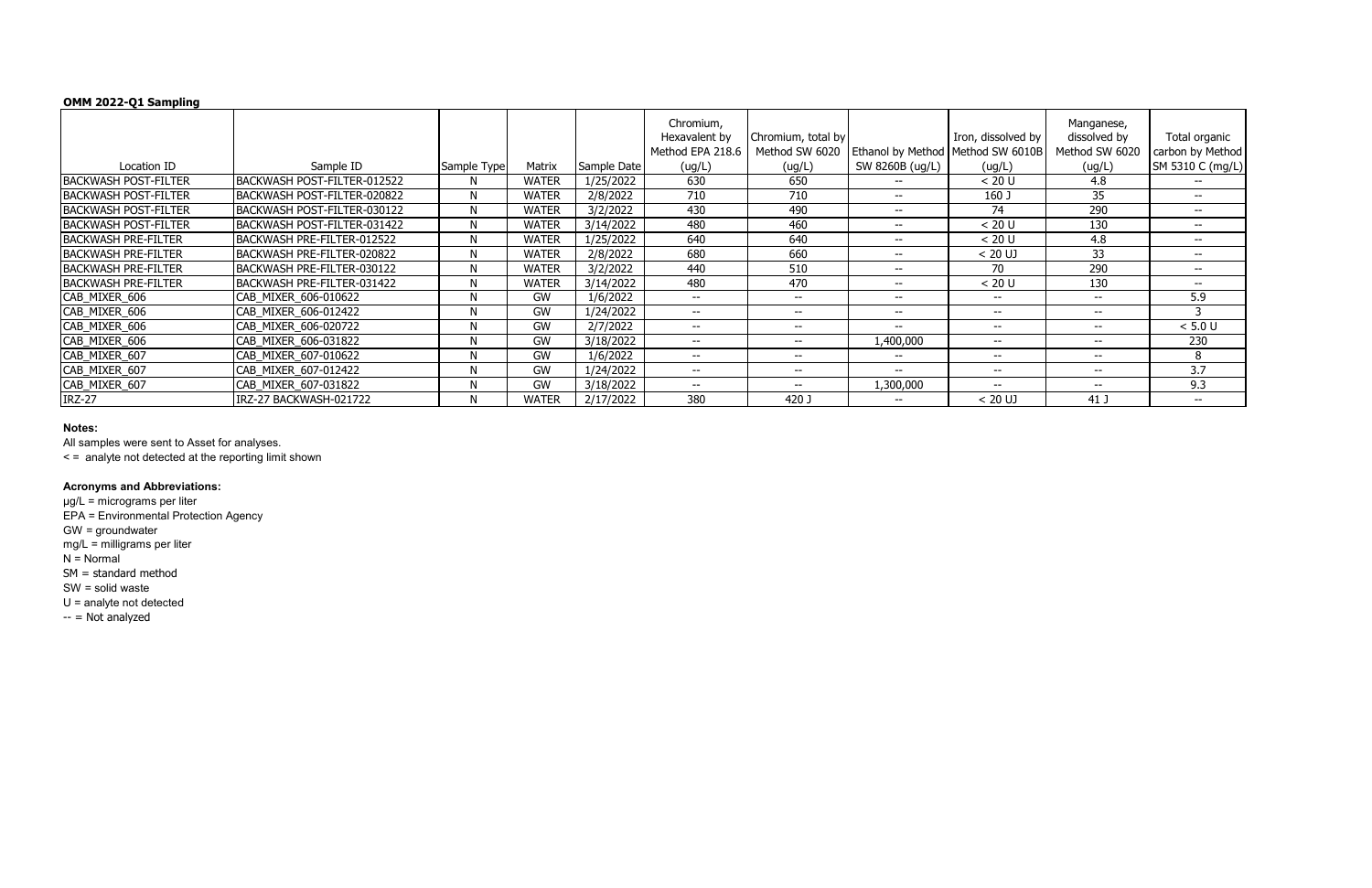# **OMM 2022-Q1 Sampling**

|                             |                             |             |              |             | Chromium,<br>Hexavalent by<br>Method EPA 218.6 | Chromium, total by<br>Method SW 6020  | Ethanol by Method   Method SW 6010B | Iron, dissolved by | Manganese,<br>dissolved by<br>Method SW 6020 | Total organic<br>carbon by Method |
|-----------------------------|-----------------------------|-------------|--------------|-------------|------------------------------------------------|---------------------------------------|-------------------------------------|--------------------|----------------------------------------------|-----------------------------------|
| Location ID                 | Sample ID                   | Sample Type | Matrix       | Sample Date | (ug/L)                                         | (ug/L)                                | SW 8260B (ug/L)                     | (ug/L)             | (ug/L)                                       | SM 5310 C (mg/L)                  |
| <b>BACKWASH POST-FILTER</b> | BACKWASH POST-FILTER-012522 |             | <b>WATER</b> | 1/25/2022   | 630                                            | 650                                   |                                     | < 20 U             | 4.8                                          |                                   |
| <b>BACKWASH POST-FILTER</b> | BACKWASH POST-FILTER-020822 | N           | <b>WATER</b> | 2/8/2022    | 710                                            | 710                                   | $- -$                               | 160 J              | 35                                           | $- -$                             |
| <b>BACKWASH POST-FILTER</b> | BACKWASH POST-FILTER-030122 | N           | <b>WATER</b> | 3/2/2022    | 430                                            | 490                                   | $- -$                               | 74                 | 290                                          | $- -$                             |
| <b>BACKWASH POST-FILTER</b> | BACKWASH POST-FILTER-031422 | N           | <b>WATER</b> | 3/14/2022   | 480                                            | 460                                   | $- -$                               | < 20 U             | 130                                          | $- -$                             |
| <b>BACKWASH PRE-FILTER</b>  | BACKWASH PRE-FILTER-012522  | N           | <b>WATER</b> | 1/25/2022   | 640                                            | 640                                   | $- -$                               | < 20 U             | 4.8                                          | $- -$                             |
| <b>BACKWASH PRE-FILTER</b>  | BACKWASH PRE-FILTER-020822  | N           | <b>WATER</b> | 2/8/2022    | 680                                            | 660                                   | $- -$                               | $< 20$ UJ          | 33                                           | $- -$                             |
| <b>BACKWASH PRE-FILTER</b>  | BACKWASH PRE-FILTER-030122  | N           | <b>WATER</b> | 3/2/2022    | 440                                            | 510                                   | $- -$                               | 70                 | 290                                          | $- -$                             |
| <b>BACKWASH PRE-FILTER</b>  | BACKWASH PRE-FILTER-031422  | N           | <b>WATER</b> | 3/14/2022   | 480                                            | 470                                   | $- -$                               | < 20 U             | 130                                          | $- -$                             |
| CAB_MIXER_606               | CAB MIXER 606-010622        | N           | GW           | 1/6/2022    | $--$                                           | $\hspace{0.05cm}$ – $\hspace{0.05cm}$ | $- -$                               | $- -$              | $- -$                                        | 5.9                               |
| CAB_MIXER_606               | CAB MIXER 606-012422        | N           | GW           | 1/24/2022   | $- -$                                          | $\overline{\phantom{m}}$              | $- -$                               | $- -$              | $- -$                                        |                                   |
| CAB_MIXER_606               | CAB MIXER 606-020722        | N           | GW           | 2/7/2022    | $\overline{\phantom{a}}$                       | $\hspace{0.05cm}$ – $\hspace{0.05cm}$ | $- -$                               | $- -$              | $- -$                                        | $< 5.0 U$                         |
| CAB_MIXER_606               | CAB_MIXER_606-031822        | N           | GW           | 3/18/2022   | $\overline{\phantom{m}}$                       | $- -$                                 | 1,400,000                           | $- -$              | $- -$                                        | 230                               |
| CAB_MIXER_607               | CAB MIXER 607-010622        | N           | GW           | 1/6/2022    | $\overline{\phantom{a}}$                       | $- -$                                 | $- -$                               | $- -$              | $- -$                                        | 8                                 |
| CAB_MIXER_607               | CAB_MIXER_607-012422        | N           | GW           | 1/24/2022   | $\qquad \qquad -$                              | $\hspace{0.05cm}$ – $\hspace{0.05cm}$ | $- -$                               | $- -$              | $- -$                                        | 3.7                               |
| CAB_MIXER_607               | CAB_MIXER_607-031822        | N           | <b>GW</b>    | 3/18/2022   | $\overline{\phantom{a}}$                       | $- -$                                 | 1,300,000                           | $- -$              | $\sim$ $\sim$                                | 9.3                               |
| <b>IRZ-27</b>               | IRZ-27 BACKWASH-021722      | N           | <b>WATER</b> | 2/17/2022   | 380                                            | 420 J                                 | $- -$                               | $< 20$ UJ          | 41 J                                         | $- -$                             |

µg/L = micrograms per liter EPA = Environmental Protection Agency GW = groundwater mg/L = milligrams per liter  $N =$  Normal SM = standard method SW = solid waste U = analyte not detected  $-$  = Not analyzed

### **Notes:**

All samples were sent to Asset for analyses.

< = analyte not detected at the reporting limit shown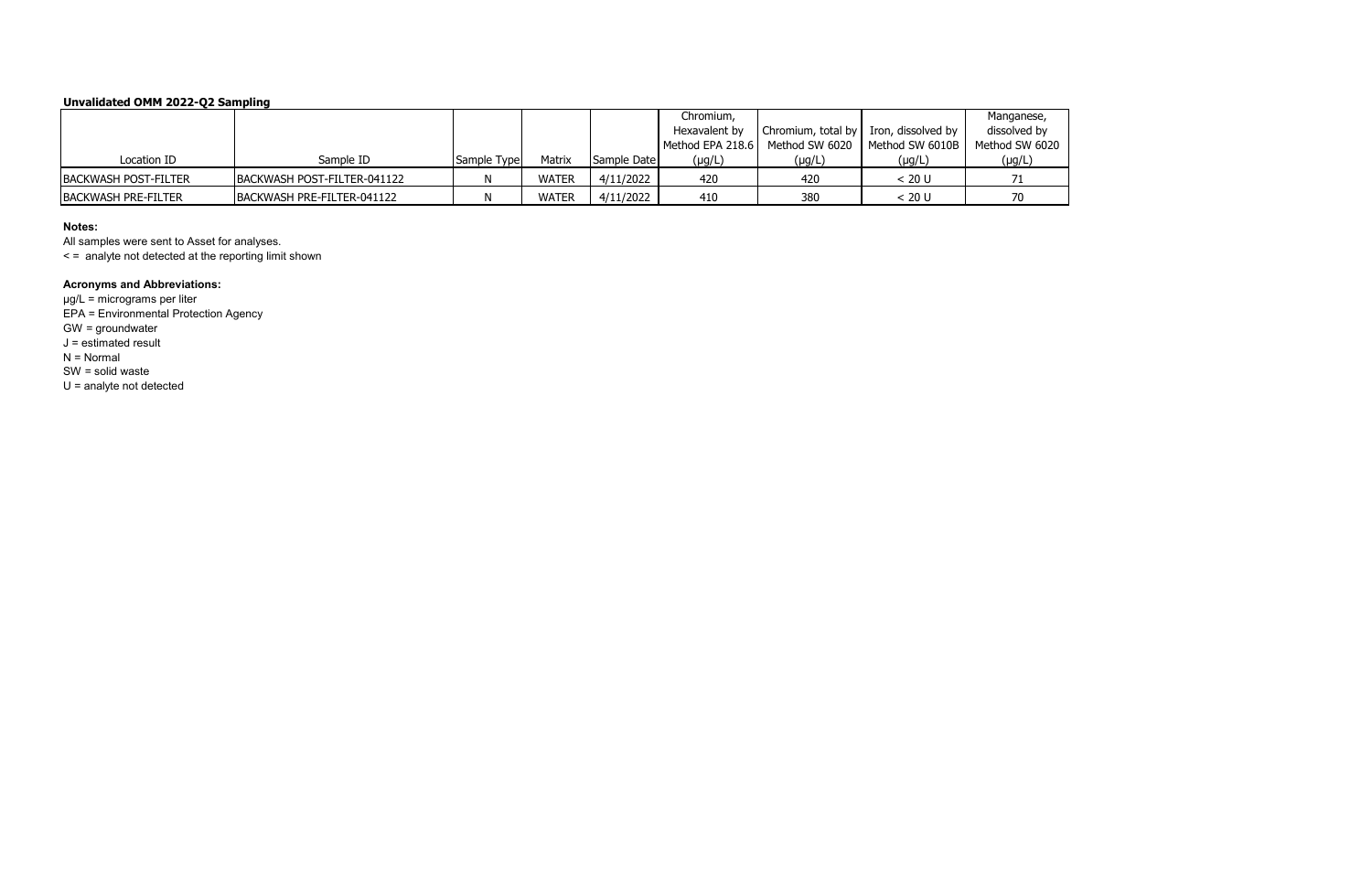# **Unvalidated OMM 2022-Q2 Sampling**

|                             |                             |             |              |             | Chromium,        |                                         |                 | Manganese,     |
|-----------------------------|-----------------------------|-------------|--------------|-------------|------------------|-----------------------------------------|-----------------|----------------|
|                             |                             |             |              |             | Hexavalent by    | Chromium, total by I Iron, dissolved by |                 | dissolved by   |
|                             |                             |             |              |             | Method EPA 218.6 | Method SW 6020                          | Method SW 6010B | Method SW 6020 |
| Location ID                 | Sample ID                   | Sample Type | Matrix       | Sample Date | $(\mu g/L)$      | (µg/L)                                  | $(\mu g/L)$     | $(\mu g/L)$    |
| <b>BACKWASH POST-FILTER</b> | BACKWASH POST-FILTER-041122 |             | <b>WATER</b> | 4/11/2022   | 420              | 420                                     | < 20 U          |                |
| <b>BACKWASH PRE-FILTER</b>  | BACKWASH PRE-FILTER-041122  |             | <b>WATER</b> | 4/11/2022   | 410              | 380                                     | < 20 U          | 70             |

### **Notes:**

All samples were sent to Asset for analyses.

< = analyte not detected at the reporting limit shown

### **Acronyms and Abbreviations:**

µg/L = micrograms per liter EPA = Environmental Protection Agency GW = groundwater J = estimated result N = Normal SW = solid waste U = analyte not detected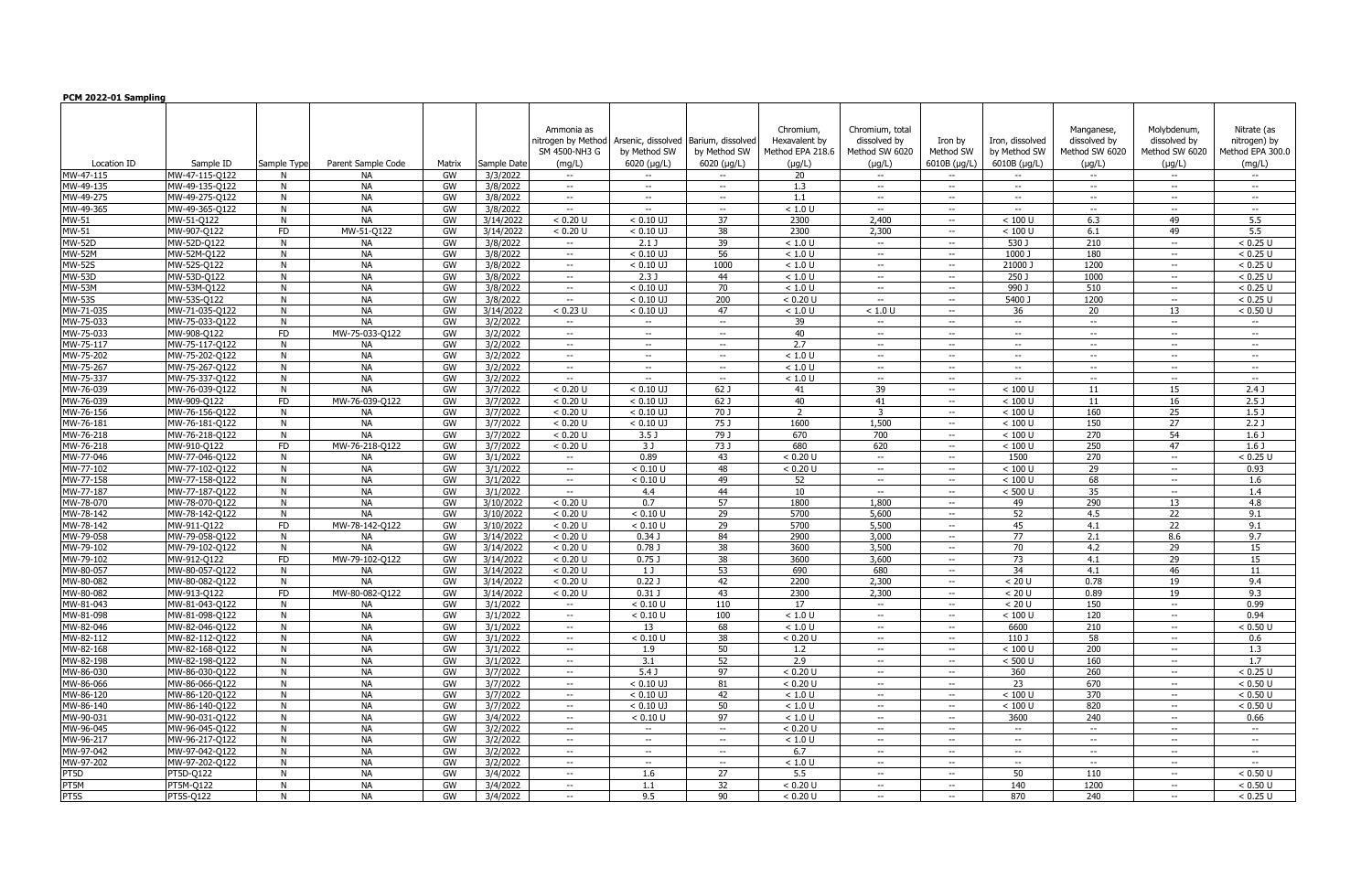| PCM 2022-01 Sampling   |                               |             |                    |          |                      |                                                             |                                                           |                                                          |                                                               |                                                                  |                                        |                                                 |                                                             |                                                             |                                                           |
|------------------------|-------------------------------|-------------|--------------------|----------|----------------------|-------------------------------------------------------------|-----------------------------------------------------------|----------------------------------------------------------|---------------------------------------------------------------|------------------------------------------------------------------|----------------------------------------|-------------------------------------------------|-------------------------------------------------------------|-------------------------------------------------------------|-----------------------------------------------------------|
| Location ID            | Sample ID                     | Sample Type | Parent Sample Code | Matrix   | Sample Date          | Ammonia as<br>nitrogen by Method<br>SM 4500-NH3 G<br>(mq/L) | Arsenic, dissolved<br>by Method SW<br>$6020$ ( $\mu$ g/L) | Barium, dissolvec<br>by Method SW<br>$6020 \; (\mu g/L)$ | Chromium,<br>Hexavalent by<br>Method EPA 218.6<br>$(\mu g/L)$ | Chromium, total<br>dissolved by<br>Method SW 6020<br>$(\mu q/L)$ | Iron by<br>Method SW<br>$6010B$ (µg/L) | Iron, dissolved<br>by Method SW<br>6010B (µg/L) | Manganese,<br>dissolved by<br>Method SW 6020<br>$(\mu q/L)$ | Molybdenum<br>dissolved by<br>Method SW 6020<br>$(\mu q/L)$ | Nitrate (as<br>nitrogen) by<br>Method EPA 300.0<br>(mq/L) |
| MW-47-115              | MW-47-115-Q122                | N.          | NА                 | GW       | 3/3/2022             | $-  \,$                                                     | $\overline{\phantom{a}}$                                  | $\sim$                                                   | 20                                                            | $\sim$                                                           | $- -$                                  | $\sim$                                          | $\overline{\phantom{a}}$                                    | $- -$                                                       | $- -$                                                     |
| MW-49-135              | MW-49-135-0122                | N           | <b>NA</b>          | GW       | 3/8/2022             | $- -$                                                       | $\hspace{0.1mm}-\hspace{0.1mm}-\hspace{0.1mm}$            | $\overline{\phantom{a}}$                                 | 1.3                                                           | $--$                                                             | --                                     | $\overline{\phantom{a}}$                        | $\overline{\phantom{a}}$                                    | $\overline{\phantom{a}}$                                    | $\hspace{0.1mm}-\hspace{0.1mm}-\hspace{0.1mm}$            |
| MW-49-275              | MW-49-275-Q122                | N           | <b>NA</b>          | GW       | 3/8/2022             | $  \,$                                                      | $--$                                                      | $ -$                                                     | 1.1                                                           | $- -$                                                            | $-$                                    | $-$                                             | $\overline{\phantom{a}}$                                    | $\overline{\phantom{a}}$                                    | $- -$                                                     |
| MW-49-365              | MW-49-365-Q122                | N           | <b>NA</b>          | GW       | 3/8/2022             | $-  \,$                                                     | $\hspace{0.1mm}-\hspace{0.1mm}-\hspace{0.1mm}$            | $--$                                                     | < 1.0 U                                                       | $\overline{\phantom{a}}$                                         | $- -$                                  | $\overline{\phantom{a}}$                        | $\overline{\phantom{a}}$                                    | $--$                                                        | $--$                                                      |
| MW-51                  | MW-51-Q122                    | N           | <b>NA</b>          | GW       | 3/14/2022            | < 0.20 U                                                    | $< 0.10$ UJ                                               | 37                                                       | 2300                                                          | 2,400                                                            | --                                     | $< 100$ U                                       | 6.3                                                         | 49                                                          | 5.5                                                       |
| MW-51                  | MW-907-Q122                   | <b>FD</b>   | MW-51-Q122         | GW       | 3/14/2022            | < 0.20 U                                                    | $< 0.10$ UJ                                               | 38                                                       | 2300                                                          | 2,300                                                            | $-$                                    | $< 100$ U                                       | 6.1                                                         | 49                                                          | 5.5                                                       |
| <b>MW-52D</b>          | MW-52D-Q122                   | N           | <b>NA</b>          | GW       | 3/8/2022             | $--$                                                        | $2.1$ J                                                   | 39                                                       | < 1.0 U                                                       | $\overline{\phantom{a}}$                                         | $-$                                    | 530 J                                           | 210                                                         | $\overline{\phantom{a}}$                                    | < 0.25 U                                                  |
| <b>MW-52M</b>          | MW-52M-Q122                   | N           | <b>NA</b>          | GW       | 3/8/2022             | $- -$                                                       | $< 0.10$ UJ                                               | 56                                                       | < 1.0 U                                                       | $\overline{\phantom{a}}$                                         | $- -$                                  | 1000 J                                          | 180                                                         | $\overline{\phantom{a}}$                                    | < 0.25 U                                                  |
| <b>MW-52S</b>          | MW-52S-Q122                   | N           | <b>NA</b>          | GW       | 3/8/2022             | $- -$                                                       | $< 0.10$ UJ                                               | 1000                                                     | < 1.0 U                                                       | $\overline{\phantom{a}}$                                         | $- -$                                  | 21000 J                                         | 1200                                                        | $- -$                                                       | < 0.25 U                                                  |
| <b>MW-53D</b>          | MW-53D-Q122                   | N           | <b>NA</b>          | GW       | 3/8/2022             | $  \,$                                                      | 2.3J                                                      | 44                                                       | < 1.0 U                                                       | $- -$                                                            | $- -$                                  | 250 J                                           | 1000                                                        | $\hspace{0.1mm}-\hspace{0.1mm}-\hspace{0.1mm}$              | < 0.25 U                                                  |
| <b>MW-53M</b>          | MW-53M-Q122                   | N           | <b>NA</b>          | GW       | 3/8/2022             | $- -$                                                       | $< 0.10$ UJ                                               | 70                                                       | < 1.0 U                                                       | $\overline{\phantom{a}}$                                         | $-$                                    | 990 J                                           | 510                                                         | $\overline{\phantom{a}}$                                    | < 0.25 U                                                  |
| <b>MW-53S</b>          | MW-53S-Q122                   | N           | <b>NA</b>          | GW       | 3/8/2022             | $- -$ .                                                     | $< 0.10$ UJ                                               | 200                                                      | < 0.20 U                                                      | $--$                                                             | $--$                                   | 5400 J                                          | 1200                                                        | $  \,$                                                      | < 0.25 U                                                  |
| MW-71-035              | MW-71-035-Q122                | N           | <b>NA</b>          | GW       | 3/14/2022            | < 0.23 U                                                    | $< 0.10$ UJ                                               | 47                                                       | < 1.0 U                                                       | < 1.0 U                                                          | --                                     | 36                                              | 20                                                          | 13                                                          | < 0.50 U                                                  |
| MW-75-033              | MW-75-033-Q122                | N           | <b>NA</b>          | GW       | 3/2/2022             | $- -$                                                       | $\overline{\phantom{a}}$                                  | $\sim$                                                   | 39                                                            | $\overline{\phantom{a}}$                                         | $-$                                    | $\overline{\phantom{a}}$                        | $\overline{\phantom{a}}$                                    | $\overline{\phantom{a}}$                                    | $\sim$                                                    |
| MW-75-033              | MW-908-Q122                   | <b>FD</b>   | MW-75-033-Q122     | GW       | 3/2/2022             | $- -$ .                                                     | $--$                                                      | $--$                                                     | 40                                                            | $\overline{\phantom{a}}$                                         | $--$                                   | $\overline{\phantom{a}}$                        | $\overline{\phantom{a}}$                                    | $\overline{\phantom{a}}$                                    | $--$                                                      |
| MW-75-117              | MW-75-117-0122                | N           | NА                 | GW       | 3/2/2022             | $- -$                                                       | $--$                                                      | $- -$                                                    | 2.7                                                           | $\overline{\phantom{a}}$                                         | --                                     | $\overline{\phantom{a}}$                        | $\overline{\phantom{a}}$                                    | $\overline{\phantom{a}}$                                    | $\hspace{0.1mm}-\hspace{0.1mm}-\hspace{0.1mm}$            |
| MW-75-202              | MW-75-202-Q122                | N           | <b>NA</b>          | GW       | 3/2/2022             | $- -$                                                       | $--$                                                      | $- -$                                                    | < 1.0 U                                                       | $--$                                                             | $-$                                    | $-$                                             | $\overline{\phantom{a}}$                                    | $\overline{\phantom{a}}$                                    | $--$                                                      |
| MW-75-267              | MW-75-267-Q122                | N           | <b>NA</b>          | GW       | 3/2/2022             | $- -$                                                       | $\hspace{0.1mm}-\hspace{0.1mm}-\hspace{0.1mm}$            | $--$                                                     | < 1.0 U                                                       | $\overline{\phantom{a}}$                                         | $-$                                    | $-$                                             | $\overline{\phantom{a}}$                                    | $\overline{\phantom{a}}$                                    | $--$                                                      |
| MW-75-337              | MW-75-337-Q122                | N           | <b>NA</b>          | GW       | 3/2/2022             | $- -$                                                       | $\hspace{0.1mm}-\hspace{0.1mm}-\hspace{0.1mm}$            | $--$                                                     | < 1.0 U                                                       | $\overline{\phantom{a}}$                                         | $- -$                                  | $\overline{\phantom{a}}$                        | $\overline{\phantom{a}}$                                    | $\overline{\phantom{a}}$                                    | $--$                                                      |
| MW-76-039              | MW-76-039-Q122                | N           | <b>NA</b>          | GW       | 3/7/2022             | < 0.20 U                                                    | $< 0.10$ UJ                                               | 62 J                                                     | 41                                                            | 39                                                               | $--$                                   | $< 100$ U                                       | 11                                                          | 15                                                          | 2.4 <sub>J</sub>                                          |
| MW-76-039              | MW-909-Q122                   | <b>FD</b>   | MW-76-039-Q122     | GW       | 3/7/2022             | < 0.20 U                                                    | $< 0.10$ UJ                                               | 62 J                                                     | 40<br>$\mathcal{L}$                                           | 41<br>્ર                                                         | $--$                                   | $< 100$ U                                       | 11                                                          | 16                                                          | 2.5 <sub>J</sub>                                          |
| MW-76-156              | MW-76-156-Q122                | N           | <b>NA</b>          | GW       | 3/7/2022             | < 0.20 U                                                    | $< 0.10$ UJ                                               | 70 J                                                     |                                                               |                                                                  | $--$                                   | $< 100$ U                                       | 160                                                         | 25                                                          | 1.5J                                                      |
| MW-76-181<br>MW-76-218 | MW-76-181-0122                | N<br>N      | NА<br><b>NA</b>    | GW<br>GW | 3/7/2022<br>3/7/2022 | < 0.20 U<br>< 0.20 U                                        | $< 0.10$ UJ<br>3.5 <sub>J</sub>                           | 75 J<br>79 J                                             | 1600<br>670                                                   | 1,500<br>700                                                     | $- -$<br>$- -$                         | $< 100$ U<br>$< 100$ U                          | 150<br>270                                                  | 27<br>54                                                    | 2.2 <sub>J</sub><br>1.6 <sub>J</sub>                      |
| MW-76-218              | MW-76-218-Q122<br>MW-910-0122 | <b>FD</b>   | MW-76-218-Q122     | GW       | 3/7/2022             | < 0.20 U                                                    | 3 J                                                       | 73 J                                                     | 680                                                           | 620                                                              | $-$                                    | $< 100$ U                                       | 250                                                         | 47                                                          | 1.6 <sub>J</sub>                                          |
| MW-77-046              | MW-77-046-Q122                | N           | NА                 | GW       | 3/1/2022             | $-  \,$                                                     | 0.89                                                      | 43                                                       | < 0.20 U                                                      | $--$                                                             | $--$                                   | 1500                                            | 270                                                         | $- -$ .                                                     | < 0.25 U                                                  |
| MW-77-102              | MW-77-102-Q122                | N           | <b>NA</b>          | GW       | 3/1/2022             | $- -$ .                                                     | < 0.10 U                                                  | 48                                                       | < 0.20 U                                                      | $--$                                                             | --                                     | $< 100$ U                                       | 29                                                          | $\overline{\phantom{a}}$                                    | 0.93                                                      |
| MW-77-158              | MW-77-158-Q122                | N           | <b>NA</b>          | GW       | 3/1/2022             | $  \,$                                                      | < 0.10 U                                                  | 49                                                       | 52                                                            | $-$                                                              | $- -$                                  | $< 100$ U                                       | 68                                                          | $\overline{\phantom{a}}$                                    | 1.6                                                       |
| MW-77-187              | MW-77-187-Q122                | N           | <b>NA</b>          | GW       | 3/1/2022             | $--$                                                        | 4.4                                                       | 44                                                       | 10                                                            | $\overline{\phantom{a}}$                                         | $-$                                    | $<$ 500 U                                       | 35                                                          | $\overline{\phantom{a}}$                                    | 1.4                                                       |
| MW-78-070              | MW-78-070-Q122                | N           | <b>NA</b>          | GW       | 3/10/2022            | < 0.20 U                                                    | 0.7                                                       | 57                                                       | 1800                                                          | 1,800                                                            | $- -$                                  | 49                                              | 290                                                         | 13                                                          | 4.8                                                       |
| MW-78-142              | MW-78-142-Q122                | N           | <b>NA</b>          | GW       | 3/10/2022            | < 0.20 U                                                    | < 0.10 U                                                  | 29                                                       | 5700                                                          | 5,600                                                            | $- -$                                  | 52                                              | 4.5                                                         | 22                                                          | 9.1                                                       |
| MW-78-142              | MW-911-Q122                   | <b>FD</b>   | MW-78-142-Q122     | GW       | 3/10/2022            | < 0.20 U                                                    | < 0.10 U                                                  | 29                                                       | 5700                                                          | 5,500                                                            | $- -$                                  | 45                                              | 4.1                                                         | 22                                                          | 9.1                                                       |
| MW-79-058              | MW-79-058-Q122                | N           | <b>NA</b>          | GW       | 3/14/2022            | < 0.20 U                                                    | 0.34J                                                     | 84                                                       | 2900                                                          | 3,000                                                            | $- -$                                  | 77                                              | 2.1                                                         | 8.6                                                         | 9.7                                                       |
| MW-79-102              | MW-79-102-Q122                | N           | <b>NA</b>          | GW       | 3/14/2022            | < 0.20 U                                                    | 0.78J                                                     | 38                                                       | 3600                                                          | 3,500                                                            | $- -$                                  | 70                                              | 4.2                                                         | 29                                                          | 15                                                        |
| MW-79-102              | MW-912-Q122                   | <b>FD</b>   | MW-79-102-Q122     | GW       | 3/14/2022            | < 0.20 U                                                    | 0.75J                                                     | 38                                                       | 3600                                                          | 3,600                                                            | $\overline{\phantom{a}}$               | 73                                              | 4.1                                                         | 29                                                          | 15                                                        |
| MW-80-057              | MW-80-057-Q122                | N           | <b>NA</b>          | GW       | 3/14/2022            | < 0.20 U                                                    | 1 J                                                       | 53                                                       | 690                                                           | 680                                                              | $-$                                    | 34                                              | 4.1                                                         | 46                                                          | 11                                                        |
| MW-80-082              | MW-80-082-Q122                | N           | <b>NA</b>          | GW       | 3/14/2022            | < 0.20 U                                                    | 0.22J                                                     | 42                                                       | 2200                                                          | 2,300                                                            | $\overline{\phantom{a}}$               | < 20 U                                          | 0.78                                                        | 19                                                          | 9.4                                                       |
| MW-80-082              | MW-913-Q122                   | ${\sf FD}$  | MW-80-082-Q122     | GW       | 3/14/2022            | < 0.20 U                                                    | 0.31 J                                                    | 43                                                       | 2300                                                          | 2,300                                                            |                                        | $< 20 \, \mathrm{U}$                            | 0.89                                                        | 19                                                          | 9.3                                                       |
| MW-81-043              | MW-81-043-Q122                | N           | NA                 | GW       | 3/1/2022             | $- -$ .                                                     | < 0.10 U                                                  | 110                                                      | 17                                                            | $--$                                                             | $--$                                   | < 20 U                                          | 150                                                         | $\sim$                                                      | 0.99                                                      |
| MW-81-098              | MW-81-098-Q122                | N           | Na                 | GW       | 3/1/2022             | $-  \,$                                                     | < 0.10 U                                                  | 100                                                      | < 1.0 U                                                       | $ -$                                                             | $--$                                   | $< 100$ U                                       | 120                                                         | $- -$ .                                                     | 0.94                                                      |
| MW-82-046              | MW-82-046-Q122                | N.          | Na                 | GW       | 3/1/2022             | $- -$                                                       | 13                                                        | 68                                                       | < 1.0 U                                                       | $--$                                                             | $- -$                                  | 6600                                            | 210                                                         | $--$                                                        | < 0.50 U                                                  |
| MW-82-112              | MW-82-112-Q122                | N           | Na                 | GW       | 3/1/2022             | $- -$                                                       | < 0.10 U                                                  | 38                                                       | < 0.20 U                                                      | $- -$                                                            | $--$                                   | 110J                                            | 58                                                          | $- -$                                                       | 0.6                                                       |
| MW-82-168              | MW-82-168-Q122                | N           | Na                 | GW       | 3/1/2022             | $--$                                                        | 1.9                                                       | 50                                                       | 1.2                                                           | $-$                                                              | $-$                                    | $< 100$ U                                       | 200                                                         | $\overline{\phantom{a}}$                                    | 1.3                                                       |
| MW-82-198              | MW-82-198-Q122                | N           | <b>NA</b>          | GW       | 3/1/2022             | $- -$                                                       | $\overline{3.1}$                                          | 52                                                       | 2.9                                                           | $--$                                                             | $- -$                                  | < 500 U                                         | 160                                                         | $\overline{\phantom{a}}$                                    | 1.7                                                       |
| MW-86-030              | MW-86-030-Q122                | N           | Na                 | GW       | 3/7/2022             | $-  \,$                                                     | 5.4J                                                      | 97                                                       | < 0.20 U                                                      | $--$                                                             | $--$                                   | 360                                             | 260                                                         | $--$                                                        | < 0.25 U                                                  |
| MW-86-066              | MW-86-066-Q122                | N           | <b>NA</b>          | GW       | 3/7/2022             | $- -$ .                                                     | $< 0.10$ UJ                                               | 81                                                       | < 0.20 U                                                      | $--$                                                             | $- -$                                  | 23                                              | 670                                                         | $- -$ .                                                     | < 0.50 U                                                  |
| MW-86-120              | MW-86-120-Q122                | N           | <b>NA</b>          | GW       | 3/7/2022             | $  \,$                                                      | $< 0.10$ UJ                                               | 42                                                       | < 1.0 U                                                       | $- -$                                                            | $--$                                   | $< 100$ U                                       | $\overline{370}$                                            | $--$                                                        | < 0.50 U                                                  |
| MW-86-140              | MW-86-140-Q122                | N           | Na                 | GW       | 3/7/2022             | $- -$ .                                                     | $< 0.10$ UJ                                               | 50                                                       | < 1.0 U                                                       | $--$                                                             | $- -$ .                                | $< 100$ U                                       | 820                                                         | $--$                                                        | < 0.50 U                                                  |
| MW-90-031              | MW-90-031-Q122                | N           | <b>NA</b>          | GW       | 3/4/2022             | $-  \,$                                                     | < 0.10 U                                                  | 97                                                       | < 1.0 U                                                       | $--$                                                             | $--$                                   | 3600                                            | 240                                                         | $--$                                                        | 0.66                                                      |
| MW-96-045              | MW-96-045-Q122                | N           | <b>NA</b>          | GW       | 3/2/2022             | $- -$                                                       | $\overline{\phantom{a}}$                                  | $  \,$                                                   | < 0.20 U                                                      | $- -$                                                            | $--$                                   | $- \,$                                          | $\overline{\phantom{a}}$                                    | $- -$                                                       | $- -$                                                     |
| MW-96-217              | MW-96-217-Q122                | N           | <b>NA</b>          | GW       | 3/2/2022             | $- -$                                                       | $\overline{\phantom{a}}$                                  | $\sim$                                                   | < 1.0 U                                                       | $- -$                                                            | $--$                                   | $\sim$                                          | $\overline{\phantom{a}}$                                    | $--$                                                        | $- -$                                                     |
| MW-97-042              | MW-97-042-Q122                | N           | NА                 | GW       | 3/2/2022             | $-  \,$                                                     | $\overline{\phantom{a}}$                                  | $- -$                                                    | 6.7                                                           | $--$                                                             | --                                     | $--$                                            | $\overline{\phantom{a}}$                                    | $--$                                                        | $- -$                                                     |
| MW-97-202              | MW-97-202-Q122                | N           | <b>NA</b>          | GW       | 3/2/2022             | $- -$                                                       | $\hspace{0.1mm}-\hspace{0.1mm}-\hspace{0.1mm}$            | $-  \,$                                                  | < 1.0 U                                                       | $--$                                                             | $--$                                   | $\sim$                                          | $\overline{\phantom{a}}$                                    | $\overline{\phantom{a}}$                                    | $\sim$                                                    |
| PT5D                   | PT5D-Q122                     | N           | NА                 | GW       | 3/4/2022             | $-  \,$                                                     | 1.6                                                       | 27                                                       | 5.5                                                           | $\overline{\phantom{a}}$                                         | $- -$                                  | 50                                              | 110                                                         | $--$                                                        | < 0.50 U                                                  |
| PT5M                   | PT5M-Q122                     | N           | <b>NA</b>          | GW       | 3/4/2022             | $- -$ .                                                     | 1.1                                                       | 32                                                       | $< 0.20 \text{ U}$                                            | $--$                                                             | $- -$                                  | 140                                             | 1200                                                        | $\overline{\phantom{a}}$                                    | < 0.50 U                                                  |
| PT5S                   | PT5S-Q122                     | N           | Na                 | GW       | 3/4/2022             | $-  \,$                                                     | 9.5                                                       | 90                                                       | < 0.20 U                                                      | $ -$                                                             | $--$                                   | 870                                             | 240                                                         | $--$                                                        | < 0.25 U                                                  |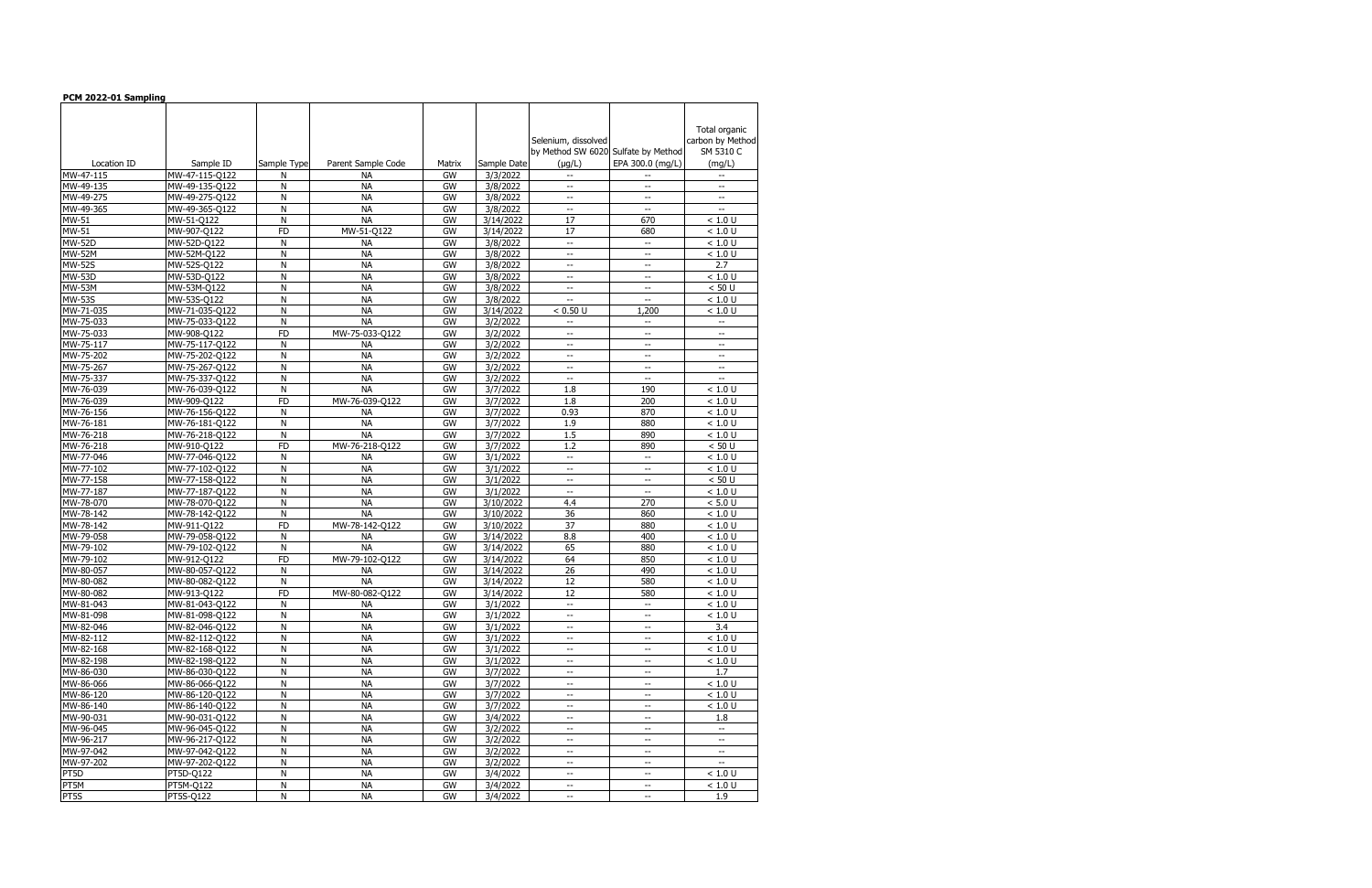| PCM 2022-01 Sampling           |                               |             |                             |          |                        |                                                                                 |                                |                           |
|--------------------------------|-------------------------------|-------------|-----------------------------|----------|------------------------|---------------------------------------------------------------------------------|--------------------------------|---------------------------|
|                                |                               |             |                             |          |                        |                                                                                 |                                |                           |
|                                |                               |             |                             |          |                        |                                                                                 |                                | Total organic             |
|                                |                               |             |                             |          |                        | Selenium, dissolved                                                             |                                | carbon by Method          |
|                                |                               |             |                             |          |                        | by Method SW 6020 Sulfate by Method                                             |                                | SM 5310 C                 |
| Location ID                    | Sample ID                     | Sample Type | Parent Sample Code          | Matrix   | Sample Date            | $(\mu g/L)$                                                                     | EPA 300.0 (mg/L)               | (mg/L)                    |
| MW-47-115                      | MW-47-115-Q122                | N           | <b>NA</b>                   | GW       | 3/3/2022               | $\mathbf{u}$                                                                    | $-$                            | $\overline{\phantom{a}}$  |
| MW-49-135                      | MW-49-135-Q122                | N           | <b>NA</b>                   | GW       | 3/8/2022               | $\overline{\phantom{a}}$                                                        | $\overline{\phantom{a}}$       | $\overline{\phantom{a}}$  |
| MW-49-275                      | MW-49-275-Q122                | N           | <b>NA</b>                   | GW       | 3/8/2022               | $-\, -$                                                                         | --                             | $-\, -$                   |
| MW-49-365                      | MW-49-365-Q122                | N           | <b>NA</b>                   | GW       | 3/8/2022               | $\overline{\phantom{a}}$                                                        | $\overline{a}$                 | $ -$                      |
| MW-51                          | MW-51-Q122                    | N           | <b>NA</b>                   | GW       | 3/14/2022              | 17                                                                              | 670                            | < 1.0 U                   |
| MW-51                          | MW-907-Q122                   | <b>FD</b>   | MW-51-Q122                  | GW       | 3/14/2022              | 17                                                                              | 680                            | < 1.0 U                   |
| <b>MW-52D</b>                  | MW-52D-Q122                   | N           | <b>NA</b>                   | GW       | 3/8/2022               | $\overline{\phantom{a}}$                                                        | $\overline{\phantom{a}}$       | < 1.0 U                   |
| <b>MW-52M</b>                  | MW-52M-Q122                   | N           | <b>NA</b>                   | GW       | 3/8/2022               | $\overline{\phantom{a}}$                                                        | $-$                            | < 1.0 U                   |
| <b>MW-52S</b>                  | MW-52S-Q122                   | N           | <b>NA</b><br><b>NA</b>      | GW       | 3/8/2022               | $\overline{\phantom{a}}$                                                        | $\overline{\phantom{a}}$       | 2.7                       |
| <b>MW-53D</b><br><b>MW-53M</b> | MW-53D-Q122                   | N<br>N      | <b>NA</b>                   | GW<br>GW | 3/8/2022               | $\overline{\phantom{a}}$<br>$\hspace{0.05cm} -\hspace{0.05cm} -\hspace{0.05cm}$ | --                             | < 1.0 U<br>< 50 U         |
| <b>MW-53S</b>                  | MW-53M-Q122<br>MW-53S-Q122    | N           | <b>NA</b>                   | GW       | 3/8/2022<br>3/8/2022   | $\overline{\phantom{a}}$                                                        | --<br>$\overline{\phantom{a}}$ | < 1.0 U                   |
| MW-71-035                      | MW-71-035-Q122                | N           | <b>NA</b>                   | GW       | 3/14/2022              | < 0.50 U                                                                        | 1,200                          | < 1.0 U                   |
| MW-75-033                      | MW-75-033-Q122                | N           | <b>NA</b>                   | GW       | 3/2/2022               | $\overline{\phantom{a}}$                                                        | $\overline{\phantom{a}}$       | $\overline{\phantom{a}}$  |
| MW-75-033                      | MW-908-Q122                   | <b>FD</b>   | MW-75-033-Q122              | GW       | 3/2/2022               | $\overline{\phantom{a}}$                                                        | $\overline{\phantom{a}}$       | $\overline{\phantom{a}}$  |
| MW-75-117                      | MW-75-117-Q122                | N           | NА                          | GW       | 3/2/2022               | $\overline{\phantom{a}}$                                                        | $-$                            | $\overline{\phantom{a}}$  |
| MW-75-202                      | MW-75-202-Q122                | N           | <b>NA</b>                   | GW       | 3/2/2022               | $\overline{\phantom{a}}$                                                        | --                             | $\overline{\phantom{a}}$  |
| MW-75-267                      | MW-75-267-Q122                | N           | <b>NA</b>                   | GW       | 3/2/2022               | $\overline{\phantom{a}}$                                                        | --                             | $-\,$                     |
| MW-75-337                      | MW-75-337-Q122                | N           | <b>NA</b>                   | GW       | 3/2/2022               | $\overline{\phantom{a}}$                                                        | $\overline{\phantom{a}}$       |                           |
| MW-76-039                      | MW-76-039-Q122                | N           | <b>NA</b>                   | GW       | 3/7/2022               | 1.8                                                                             | 190                            | < 1.0 U                   |
| MW-76-039                      | MW-909-Q122                   | <b>FD</b>   | MW-76-039-Q122              | GW       | 3/7/2022               | 1.8                                                                             | 200                            | < 1.0 U                   |
| MW-76-156                      | MW-76-156-Q122                | N           | <b>NA</b>                   | GW       | 3/7/2022               | 0.93                                                                            | 870                            | < 1.0 U                   |
| MW-76-181                      | MW-76-181-Q122                | N           | <b>NA</b>                   | GW       | 3/7/2022               | 1.9                                                                             | 880                            | < 1.0 U                   |
| MW-76-218                      | MW-76-218-Q122                | N           | <b>NA</b>                   | GW       | 3/7/2022               | 1.5                                                                             | 890                            | < 1.0 U                   |
| MW-76-218                      | MW-910-Q122                   | <b>FD</b>   | MW-76-218-Q122              | GW       | 3/7/2022               | 1.2                                                                             | 890                            | < 50 U                    |
| MW-77-046                      | MW-77-046-Q122                | N           | <b>NA</b>                   | GW       | 3/1/2022               | $\overline{\phantom{a}}$                                                        | $-$                            | < 1.0 U                   |
| MW-77-102                      | MW-77-102-Q122                | N           | <b>NA</b>                   | GW       | $\frac{1}{3}$ /1/2022  | $\overline{\phantom{a}}$                                                        | --                             | < 1.0 U                   |
| MW-77-158                      | MW-77-158-Q122                | N           | <b>NA</b>                   | GW       | 3/1/2022               | $\overline{\phantom{a}}$                                                        | $\overline{\phantom{a}}$       | < 50 U                    |
| MW-77-187                      | MW-77-187-Q122                | N           | <b>NA</b>                   | GW       | 3/1/2022               | $\overline{\phantom{a}}$                                                        | $\overline{\phantom{a}}$       | < 1.0 U                   |
| MW-78-070                      | MW-78-070-Q122                | N           | <b>NA</b>                   | GW       | $\frac{1}{3}$ /10/2022 | 4.4                                                                             | 270                            | < 5.0 U                   |
| MW-78-142                      | MW-78-142-Q122                | N           | <b>NA</b>                   | GW       | 3/10/2022              | 36                                                                              | 860                            | < 1.0 U                   |
| MW-78-142                      | MW-911-Q122                   | <b>FD</b>   | MW-78-142-Q122              | GW       | 3/10/2022              | 37                                                                              | 880                            | $< 1.0 \overline{U}$      |
| MW-79-058                      | MW-79-058-Q122                | N           | <b>NA</b>                   | GW       | 3/14/2022              | 8.8                                                                             | 400                            | < 1.0 U                   |
| MW-79-102                      | MW-79-102-Q122                | N           | <b>NA</b>                   | GW       | 3/14/2022              | 65                                                                              | 880                            | < 1.0 U                   |
| MW-79-102                      | MW-912-Q122                   | <b>FD</b>   | MW-79-102-Q122              | GW       | 3/14/2022              | 64                                                                              | 850                            | < 1.0 U                   |
| MW-80-057                      | MW-80-057-Q122                | N           | NА                          | GW       | 3/14/2022              | 26                                                                              | 490                            | < 1.0 U                   |
| MW-80-082<br>MW-80-082         | MW-80-082-Q122<br>MW-913-Q122 | N<br>FD     | <b>NA</b><br>MW-80-082-Q122 | GW<br>GW | 3/14/2022<br>3/14/2022 | 12<br>$\overline{12}$                                                           | 580<br>580                     | < 1.0 U<br>$<1.0\ \rm{U}$ |
| MW-81-043                      | MW-81-043-Q122                | N           | <b>NA</b>                   | GW       | 3/1/2022               | $\overline{\phantom{a}}$                                                        | $-$                            | < 1.0 U                   |
| MW-81-098                      | MW-81-098-Q122                | Ν           | <b>NA</b>                   | GW       | 3/1/2022               | $\overline{\phantom{a}}$                                                        | --                             | < 1.0 U                   |
| MW-82-046                      | MW-82-046-Q122                | N           | <b>NA</b>                   | GW       | 3/1/2022               | $\overline{\phantom{a}}$                                                        | $-$                            | 3.4                       |
| MW-82-112                      | MW-82-112-Q122                | N           | <b>NA</b>                   | GW       | 3/1/2022               | $\overline{\phantom{a}}$                                                        | $\overline{\phantom{a}}$       | < 1.0 U                   |
| MW-82-168                      | MW-82-168-Q122                | N           | NА                          | GW       | 3/1/2022               | $\hspace{0.05cm} \ldots$                                                        | --                             | $< 1.0 \overline{U}$      |
| MW-82-198                      | MW-82-198-Q122                | N           | <b>NA</b>                   | GW       | 3/1/2022               | $\overline{\phantom{a}}$                                                        | --                             | < 1.0 U                   |
| MW-86-030                      | MW-86-030-Q122                | N           | <b>NA</b>                   | GW       | 3/7/2022               | $\overline{\phantom{a}}$                                                        | $\overline{\phantom{a}}$       | 1.7                       |
| MW-86-066                      | MW-86-066-Q122                | N           | NА                          | GW       | 3/7/2022               | $\overline{\phantom{a}}$                                                        | $\overline{\phantom{a}}$       | < 1.0 U                   |
| MW-86-120                      | MW-86-120-Q122                | N           | <b>NA</b>                   | GW       | 3/7/2022               | $\overline{\phantom{a}}$                                                        | --                             | < 1.0 U                   |
| MW-86-140                      | MW-86-140-Q122                | N           | <b>NA</b>                   | GW       | 3/7/2022               | $\overline{\phantom{a}}$                                                        | $\overline{a}$                 | $<1.0$ U                  |
| MW-90-031                      | MW-90-031-Q122                | N           | <b>NA</b>                   | GW       | 3/4/2022               | $\overline{\phantom{a}}$                                                        | $\overline{\phantom{a}}$       | 1.8                       |
| MW-96-045                      | MW-96-045-Q122                | N           | <b>NA</b>                   | GW       | 3/2/2022               | $\overline{\phantom{a}}$                                                        | --                             | $\overline{\phantom{a}}$  |
| MW-96-217                      | MW-96-217-Q122                | N           | <b>NA</b>                   | GW       | 3/2/2022               | $\overline{\phantom{a}}$                                                        | $\overline{a}$                 | $\overline{\phantom{a}}$  |
| MW-97-042                      | MW-97-042-Q122                | N           | <b>NA</b>                   | GW       | 3/2/2022               | $\overline{\phantom{a}}$                                                        | --                             | $\overline{\phantom{a}}$  |
| MW-97-202                      | MW-97-202-Q122                | N           | <b>NA</b>                   | GW       | 3/2/2022               | $-\, -$                                                                         | --                             | $\overline{\phantom{a}}$  |
| PT5D                           | PT5D-Q122                     | N           | <b>NA</b>                   | GW       | 3/4/2022               | $\overline{\phantom{a}}$                                                        | --                             | < 1.0 U                   |
| PT5M                           | PT5M-Q122                     | N           | <b>NA</b>                   | GW       | 3/4/2022               | $\overline{\phantom{a}}$                                                        | $-$                            | $< 1.0 \overline{U}$      |
| PT5S                           | PT5S-Q122                     | N           | <b>NA</b>                   | GW       | 3/4/2022               | $\overline{\phantom{a}}$                                                        | $\overline{\phantom{a}}$       | 1.9                       |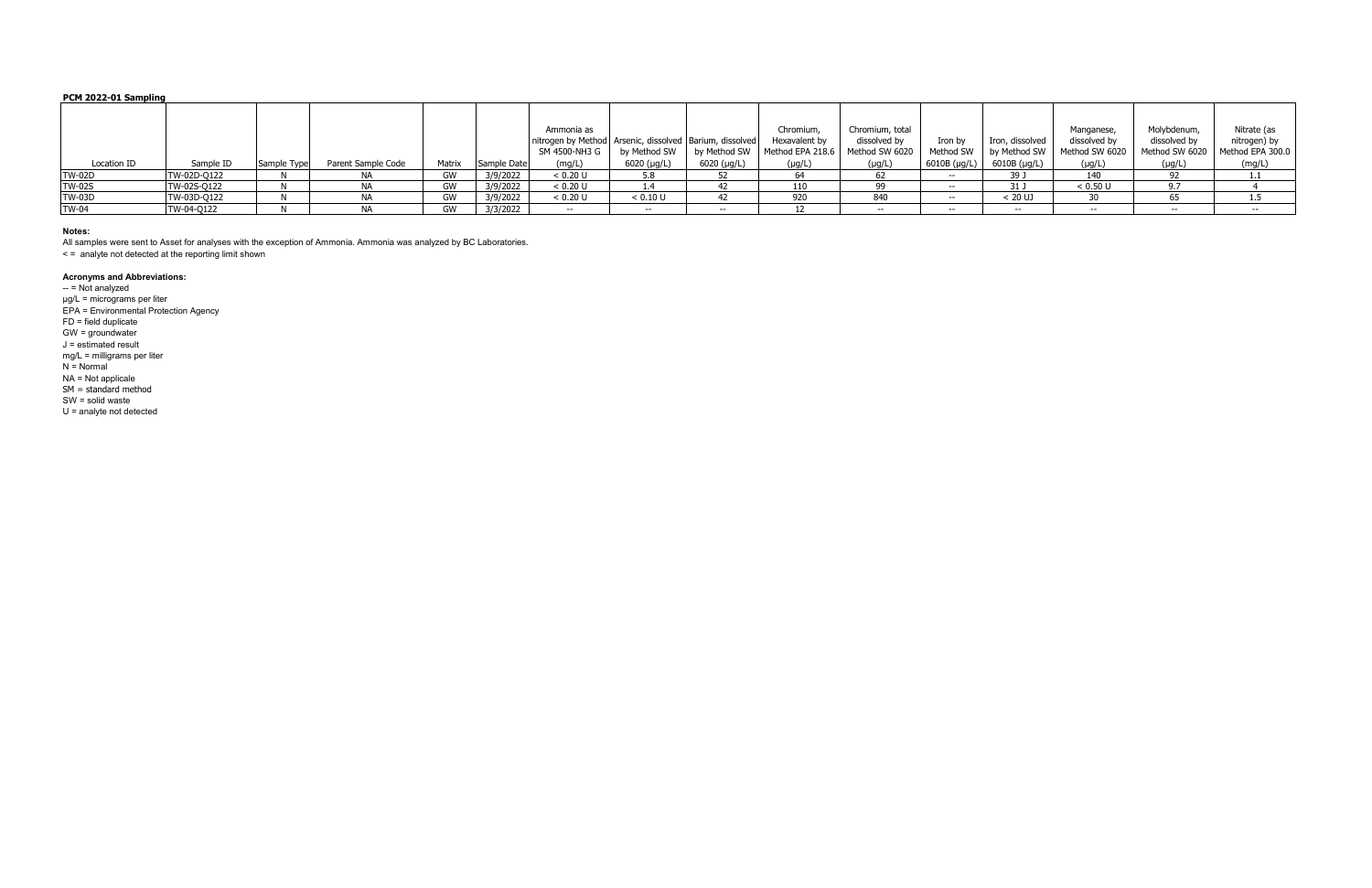### **PCM 2022-01 Sampling**

|               |             |             |                    |        |             | Ammonia as<br>nitrogen by Method   Arsenic, dissolved   Barium, dissolved  <br>SM 4500-NH3 G | by Method SW             | by Method SW | Chromium,<br>Hexavalent by<br>Method EPA 218.6   Method SW 6020 | Chromium, total<br>dissolved by | Iron by<br>Method SW | Iron, dissolved<br>by Method SW | Manganese<br>dissolved by<br>Method SW 6020 | Molybdenum,<br>dissolved by<br>Method SW 6020 | Nitrate (as<br>nitrogen) by<br>Method EPA 300.0 |
|---------------|-------------|-------------|--------------------|--------|-------------|----------------------------------------------------------------------------------------------|--------------------------|--------------|-----------------------------------------------------------------|---------------------------------|----------------------|---------------------------------|---------------------------------------------|-----------------------------------------------|-------------------------------------------------|
| Location ID   | Sample ID   | Sample Type | Parent Sample Code | Matrix | Sample Date | (mg/L)                                                                                       | 6020 (µg/L)              | 6020 (µg/L)  | $(\mu g/L)$                                                     | $(\mu g/L)$                     | 6010B (µg/L)         | 6010B (µg/L)                    | $(\mu g/L)$                                 | $(\mu g/L)$                                   | (mg/L)                                          |
| <b>TW-02D</b> | TW-02D-Q122 |             |                    | GW     | 3/9/2022    | < 0.20 U                                                                                     | 5.8                      |              |                                                                 |                                 | $- -$                | 39 J                            | 140                                         |                                               | .                                               |
| <b>TW-02S</b> | TW-02S-Q122 |             |                    | GW     | 3/9/2022    | < 0.20 U                                                                                     | 1.4                      |              | 110                                                             |                                 | $- -$                | 31 J                            | < 0.50 U                                    | 07                                            |                                                 |
| <b>TW-03D</b> | TW-03D-Q122 |             |                    | GW     | 3/9/2022    | < 0.20 U                                                                                     | < 0.10 U                 |              | 920                                                             | 840                             | $- -$                | < 20 UJ                         |                                             | 65                                            | 1.5                                             |
| <b>TW-04</b>  | TW-04-Q122  |             |                    | GW     | 3/3/2022    | $- -$                                                                                        | $\overline{\phantom{a}}$ | $- -$        |                                                                 | $- -$                           | $- -$                | $- -$                           | $- -$                                       | $- -$                                         | $- -$                                           |

-- = Not analyzed µg/L = micrograms per liter EPA = Environmental Protection Agency FD = field duplicate GW = groundwater J = estimated result mg/L = milligrams per liter  $N = Normal$ NA = Not applicale  $SM = standard$  method SW = solid waste U = analyte not detected

#### **Notes:**

All samples were sent to Asset for analyses with the exception of Ammonia. Ammonia was analyzed by BC Laboratories.

< = analyte not detected at the reporting limit shown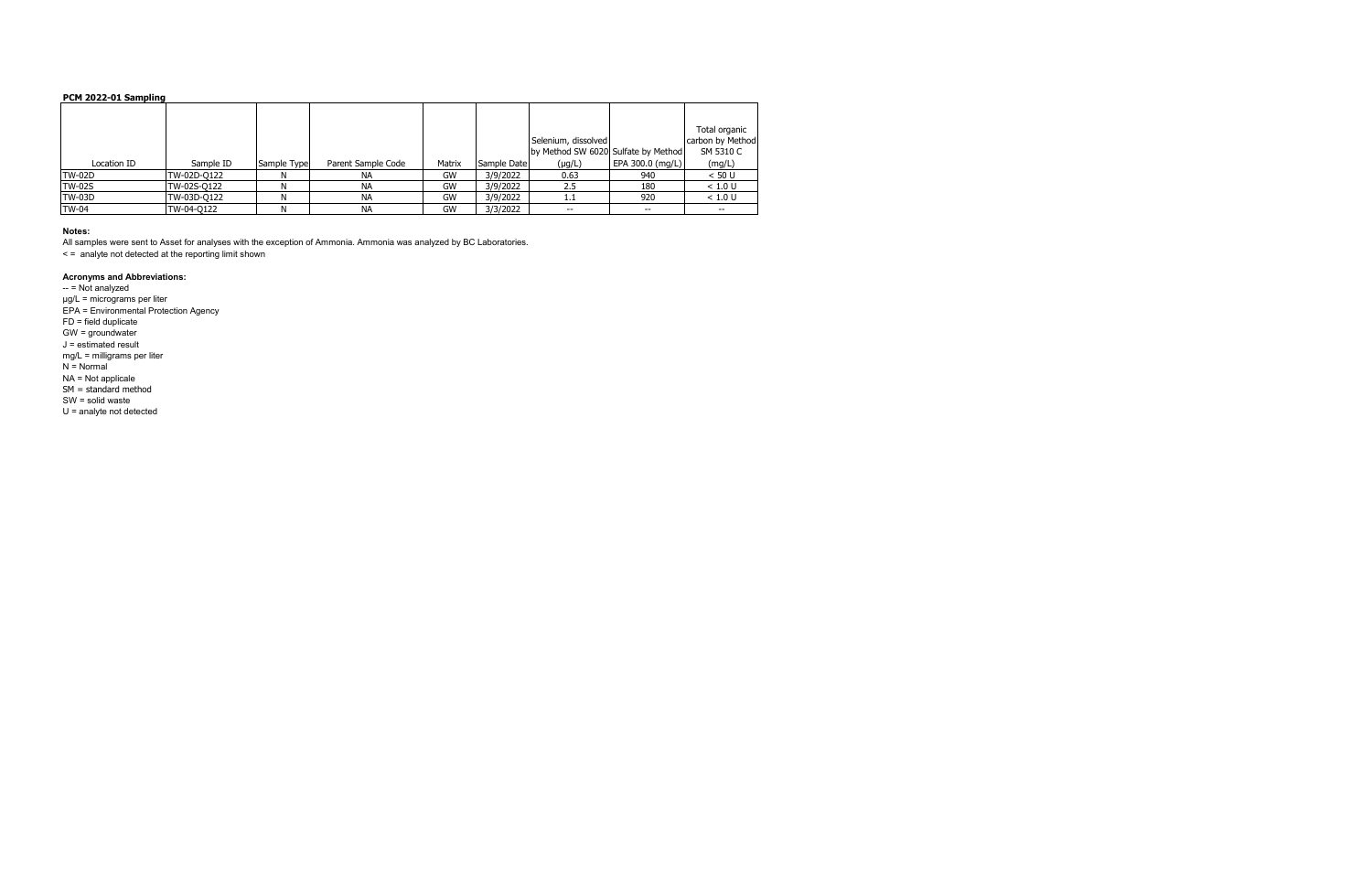### **PCM 2022-01 Sampling**

|               |             |             |                    |        |             |                                     |                  | Total organic    |
|---------------|-------------|-------------|--------------------|--------|-------------|-------------------------------------|------------------|------------------|
|               |             |             |                    |        |             | Selenium, dissolved                 |                  | carbon by Method |
|               |             |             |                    |        |             | by Method SW 6020 Sulfate by Method |                  | SM 5310 C        |
| Location ID   | Sample ID   | Sample Type | Parent Sample Code | Matrix | Sample Date | $(\mu g/L)$                         | EPA 300.0 (mg/L) | (mg/L)           |
| ITW-02D       | TW-02D-0122 |             | <b>NA</b>          | GW     | 3/9/2022    | 0.63                                | 940              | < 50 U           |
| <b>TW-02S</b> | TW-02S-Q122 |             | <b>NA</b>          | GW     | 3/9/2022    | 2.5                                 | 180              | < 1.0 U          |
| ITW-03D       | TW-03D-0122 |             | <b>NA</b>          | GW     | 3/9/2022    |                                     | 920              | < 1.0 U          |
| <b>TW-04</b>  | TW-04-Q122  |             | <b>NA</b>          | GW     | 3/3/2022    | $- -$                               | $- -$            | $- -$            |

#### **Notes:**

-- = Not analyzed µg/L = micrograms per liter EPA = Environmental Protection Agency FD = field duplicate GW = groundwater J = estimated result mg/L = milligrams per liter  $N = Normal$ NA = Not applicale  $SM = standard$  method SW = solid waste U = analyte not detected

All samples were sent to Asset for analyses with the exception of Ammonia. Ammonia was analyzed by BC Laboratories.

< = analyte not detected at the reporting limit shown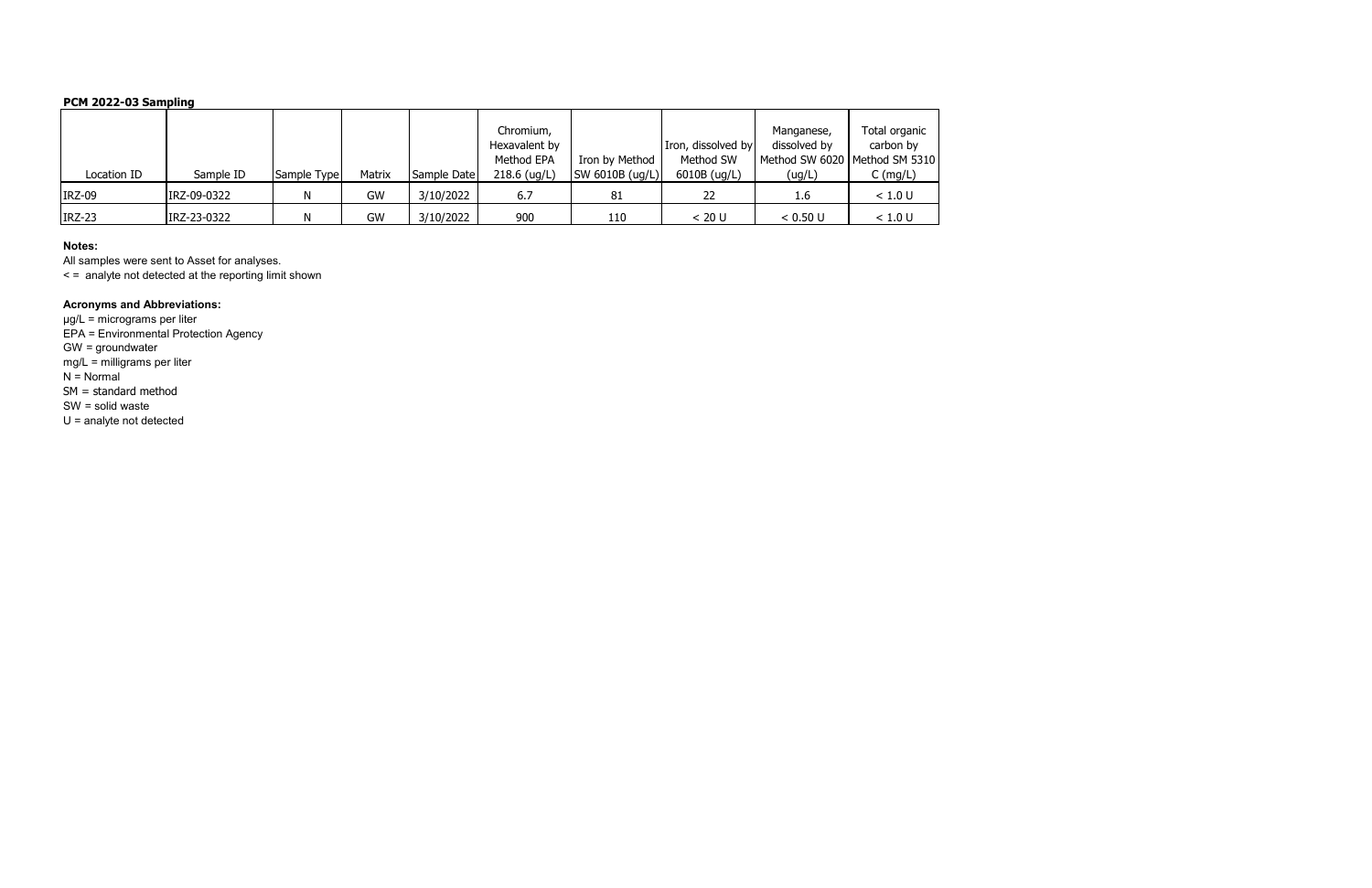# **PCM 2022-03 Sampling**

| Location ID   | Sample ID   | Sample Type | Matrix | Sample Date | Chromium,<br>Hexavalent by<br>Method EPA<br>$218.6$ (ug/L) | Iron by Method<br>SW 6010B (ug/L) | Iron, dissolved by<br>Method SW<br>6010B (ug/L) | Manganese,<br>dissolved by<br>Method SW 6020   Method SM 5310<br>(ug/L) | Total organic<br>carbon by<br>$C \left( \frac{mg}{L} \right)$ |
|---------------|-------------|-------------|--------|-------------|------------------------------------------------------------|-----------------------------------|-------------------------------------------------|-------------------------------------------------------------------------|---------------------------------------------------------------|
| <b>IRZ-09</b> | IRZ-09-0322 |             | GW     | 3/10/2022   | 6.7                                                        | 81                                | 22                                              | 1.6                                                                     | < 1.0 U                                                       |
| IRZ-23        | IRZ-23-0322 |             | GW     | 3/10/2022   | 900                                                        | 110                               | < 20 U                                          | < 0.50 U                                                                | < 1.0 U                                                       |

### **Notes:**

All samples were sent to Asset for analyses.

< = analyte not detected at the reporting limit shown

# **Acronyms and Abbreviations:**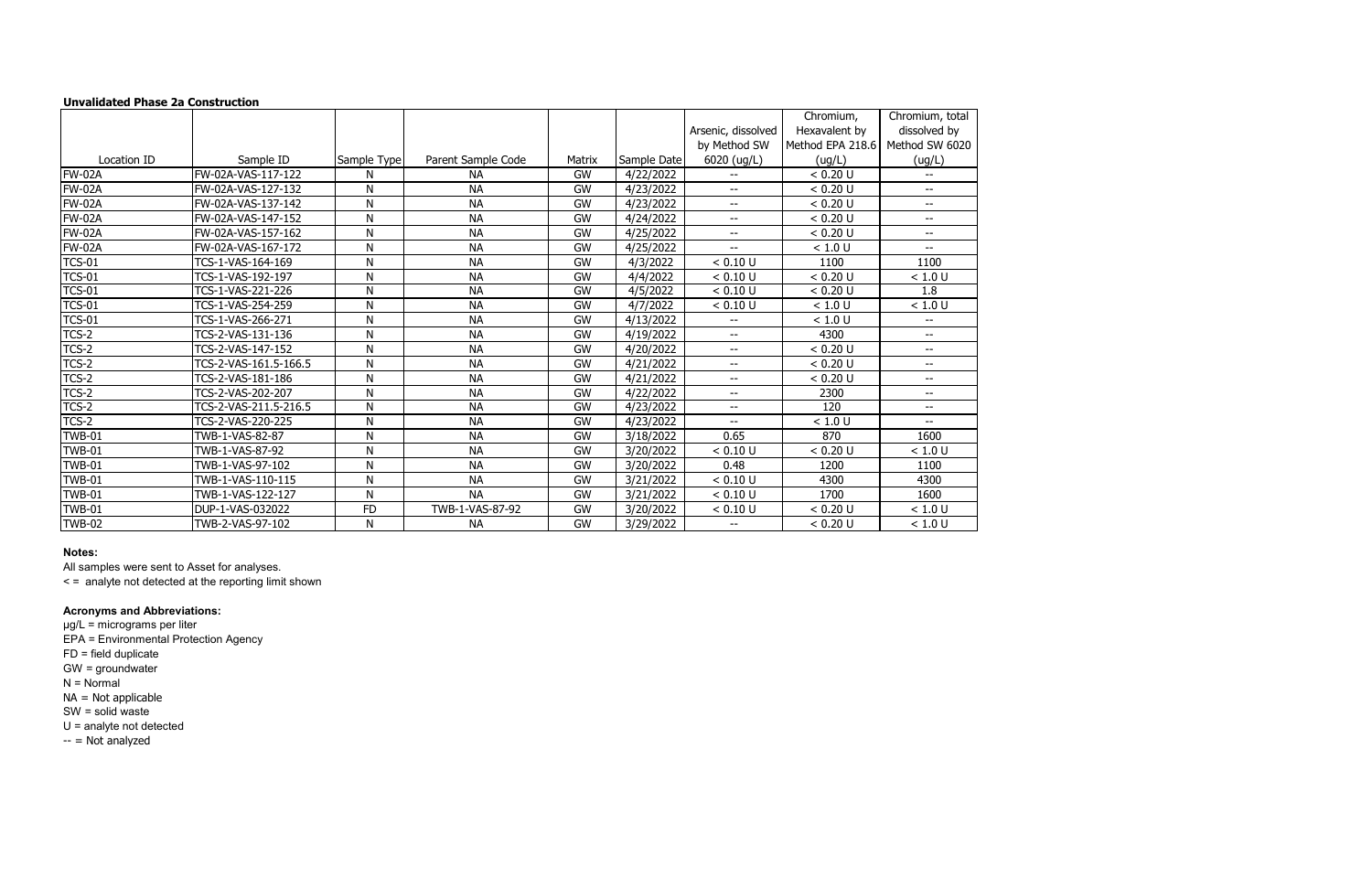## **Unvalidated Phase 2a Construction**

|               |                       |              |                    |           |             |                    | Chromium,        | Chromium, total          |
|---------------|-----------------------|--------------|--------------------|-----------|-------------|--------------------|------------------|--------------------------|
|               |                       |              |                    |           |             | Arsenic, dissolved | Hexavalent by    | dissolved by             |
|               |                       |              |                    |           |             | by Method SW       | Method EPA 218.6 | Method SW 6020           |
| Location ID   | Sample ID             | Sample Type  | Parent Sample Code | Matrix    | Sample Date | 6020 (ug/L)        | (ug/L)           | (ug/L)                   |
| <b>FW-02A</b> | FW-02A-VAS-117-122    | N            | <b>NA</b>          | GW        | 4/22/2022   |                    | < 0.20 U         | --                       |
| <b>FW-02A</b> | FW-02A-VAS-127-132    | N            | <b>NA</b>          | <b>GW</b> | 4/23/2022   | $- -$              | < 0.20 U         | $\mathbf{u}$             |
| <b>FW-02A</b> | FW-02A-VAS-137-142    | $\mathsf{N}$ | <b>NA</b>          | <b>GW</b> | 4/23/2022   | $- -$              | < 0.20 U         | --                       |
| <b>FW-02A</b> | FW-02A-VAS-147-152    | N            | <b>NA</b>          | <b>GW</b> | 4/24/2022   | $- -$              | < 0.20 U         | $- -$                    |
| <b>FW-02A</b> | FW-02A-VAS-157-162    | $\mathsf{N}$ | <b>NA</b>          | GW        | 4/25/2022   | $- -$              | < 0.20 U         | $\overline{\phantom{a}}$ |
| <b>FW-02A</b> | FW-02A-VAS-167-172    | $\mathsf{N}$ | <b>NA</b>          | <b>GW</b> | 4/25/2022   | $-$                | < 1.0 U          | --                       |
| <b>TCS-01</b> | TCS-1-VAS-164-169     | N            | <b>NA</b>          | <b>GW</b> | 4/3/2022    | < 0.10 U           | 1100             | 1100                     |
| <b>TCS-01</b> | TCS-1-VAS-192-197     | $\mathsf{N}$ | <b>NA</b>          | <b>GW</b> | 4/4/2022    | < 0.10 U           | < 0.20 U         | < 1.0 U                  |
| <b>TCS-01</b> | TCS-1-VAS-221-226     | N            | <b>NA</b>          | GW        | 4/5/2022    | < 0.10 U           | < 0.20 U         | 1.8                      |
| <b>TCS-01</b> | TCS-1-VAS-254-259     | $\mathsf{N}$ | <b>NA</b>          | <b>GW</b> | 4/7/2022    | < 0.10 U           | < 1.0 U          | < 1.0 U                  |
| <b>TCS-01</b> | TCS-1-VAS-266-271     | N            | <b>NA</b>          | <b>GW</b> | 4/13/2022   | $- -$              | < 1.0 U          | $ -$                     |
| TCS-2         | TCS-2-VAS-131-136     | $\mathsf{N}$ | <b>NA</b>          | <b>GW</b> | 4/19/2022   | $- -$              | 4300             | --                       |
| TCS-2         | TCS-2-VAS-147-152     | N            | <b>NA</b>          | <b>GW</b> | 4/20/2022   | $- -$              | < 0.20 U         | $- -$                    |
| TCS-2         | TCS-2-VAS-161.5-166.5 | $\mathsf{N}$ | <b>NA</b>          | <b>GW</b> | 4/21/2022   | $-$                | < 0.20 U         | $-$                      |
| TCS-2         | TCS-2-VAS-181-186     | $\mathsf{N}$ | <b>NA</b>          | <b>GW</b> | 4/21/2022   | $-$                | < 0.20 U         | $\overline{\phantom{a}}$ |
| TCS-2         | TCS-2-VAS-202-207     | $\mathsf{N}$ | <b>NA</b>          | <b>GW</b> | 4/22/2022   | $- -$              | 2300             | $\overline{\phantom{a}}$ |
| TCS-2         | TCS-2-VAS-211.5-216.5 | N            | <b>NA</b>          | <b>GW</b> | 4/23/2022   | $- -$              | 120              | $- -$                    |
| $TCS-2$       | TCS-2-VAS-220-225     | N            | <b>NA</b>          | GW        | 4/23/2022   | $- -$              | < 1.0 U          | $\overline{\phantom{a}}$ |
| <b>TWB-01</b> | TWB-1-VAS-82-87       | $\mathsf{N}$ | <b>NA</b>          | GW        | 3/18/2022   | 0.65               | 870              | 1600                     |
| TWB-01        | TWB-1-VAS-87-92       | N            | <b>NA</b>          | <b>GW</b> | 3/20/2022   | < 0.10 U           | < 0.20 U         | < 1.0 U                  |
| <b>TWB-01</b> | TWB-1-VAS-97-102      | $\mathsf{N}$ | <b>NA</b>          | <b>GW</b> | 3/20/2022   | 0.48               | 1200             | 1100                     |
| <b>TWB-01</b> | TWB-1-VAS-110-115     | $\mathsf{N}$ | <b>NA</b>          | <b>GW</b> | 3/21/2022   | < 0.10 U           | 4300             | 4300                     |
| <b>TWB-01</b> | TWB-1-VAS-122-127     | ${\sf N}$    | <b>NA</b>          | <b>GW</b> | 3/21/2022   | < 0.10 U           | 1700             | 1600                     |
| TWB-01        | DUP-1-VAS-032022      | <b>FD</b>    | TWB-1-VAS-87-92    | <b>GW</b> | 3/20/2022   | < 0.10 U           | < 0.20 U         | < 1.0 U                  |
| <b>TWB-02</b> | TWB-2-VAS-97-102      | N            | <b>NA</b>          | <b>GW</b> | 3/29/2022   | $- -$              | < 0.20 U         | < 1.0 U                  |

µg/L = micrograms per liter EPA = Environmental Protection Agency FD = field duplicate GW = groundwater N = Normal NA = Not applicable SW = solid waste U = analyte not detected  $-$  = Not analyzed

## **Notes:**

All samples were sent to Asset for analyses.

< = analyte not detected at the reporting limit shown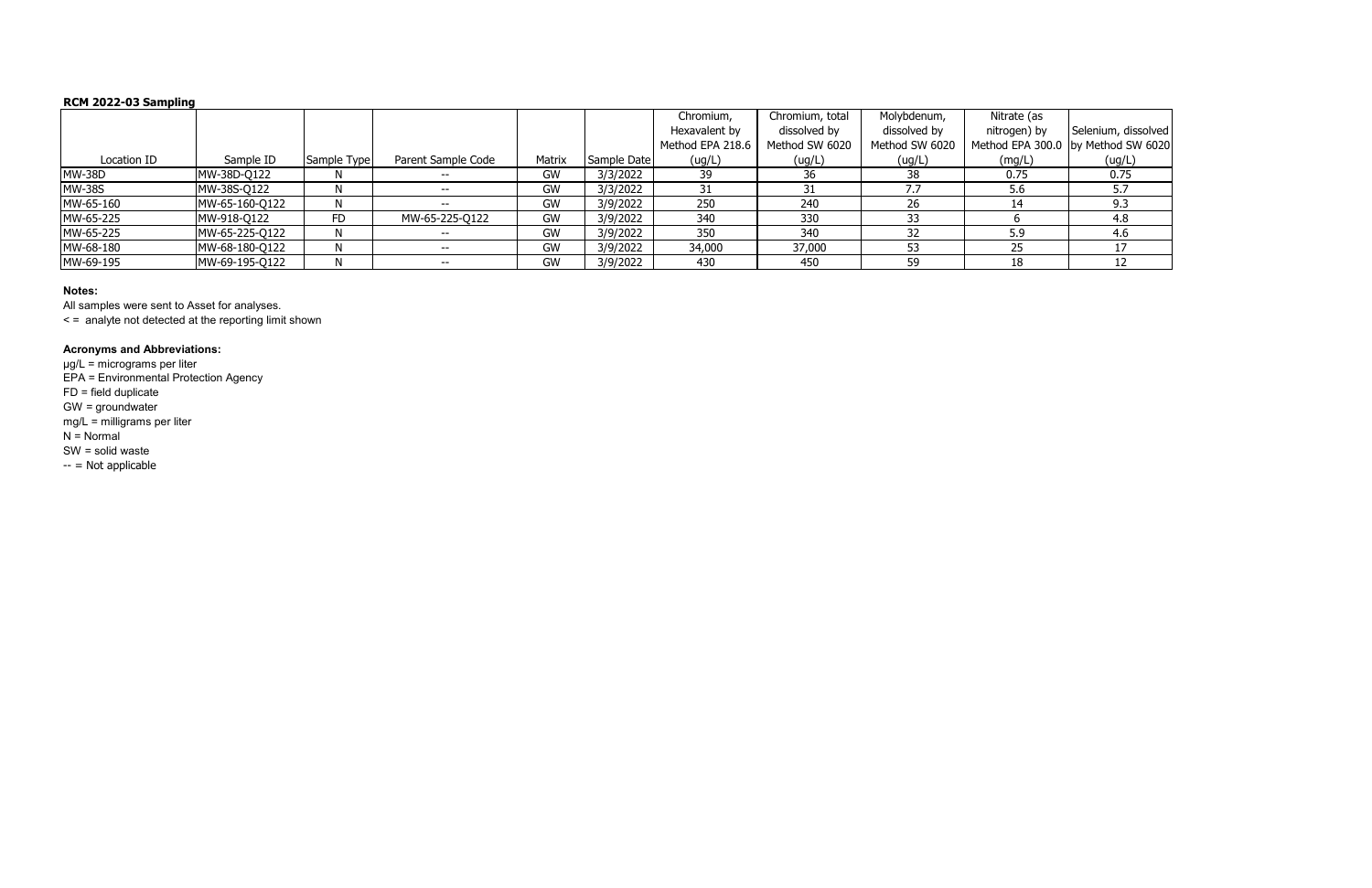# **RCM 2022-03 Sampling**

|               |                |             |                    |        |             | Chromium,        | Chromium, total | Molybdenum,    | Nitrate (as  |                                    |
|---------------|----------------|-------------|--------------------|--------|-------------|------------------|-----------------|----------------|--------------|------------------------------------|
|               |                |             |                    |        |             | Hexavalent by    | dissolved by    | dissolved by   | nitrogen) by | Selenium, dissolved                |
|               |                |             |                    |        |             | Method EPA 218.6 | Method SW 6020  | Method SW 6020 |              | Method EPA 300.0 by Method SW 6020 |
| Location ID   | Sample ID      | Sample Type | Parent Sample Code | Matrix | Sample Date | (ug/L)           | (ug/L)          | (ug/L)         | (mg/L)       | (ug/L)                             |
| <b>MW-38D</b> | MW-38D-Q122    | N           |                    | GW     | 3/3/2022    | 39               | 36              | 38             | 0.75         | 0.75                               |
| <b>MW-38S</b> | MW-38S-Q122    |             |                    | GW     | 3/3/2022    |                  |                 |                | 5.6          |                                    |
| MW-65-160     | MW-65-160-Q122 |             |                    | GW     | 3/9/2022    | 250              | 240             | 26             |              | 9.3                                |
| MW-65-225     | MW-918-Q122    | FD          | MW-65-225-Q122     | GW     | 3/9/2022    | 340              | 330             |                |              | 4.8                                |
| MW-65-225     | MW-65-225-Q122 |             | $- -$              | GW     | 3/9/2022    | 350              | 340             |                | 5.9          | 4.6                                |
| MW-68-180     | MW-68-180-Q122 | N.          |                    | GW     | 3/9/2022    | 34,000           | 37,000          |                |              |                                    |
| MW-69-195     | MW-69-195-Q122 | N           |                    | GW     | 3/9/2022    | 430              | 450             | 59             | 18           |                                    |

### **Notes:**

All samples were sent to Asset for analyses.

< = analyte not detected at the reporting limit shown

### **Acronyms and Abbreviations:**

µg/L = micrograms per liter EPA = Environmental Protection Agency FD = field duplicate GW = groundwater mg/L = milligrams per liter N = Normal SW = solid waste -- = Not applicable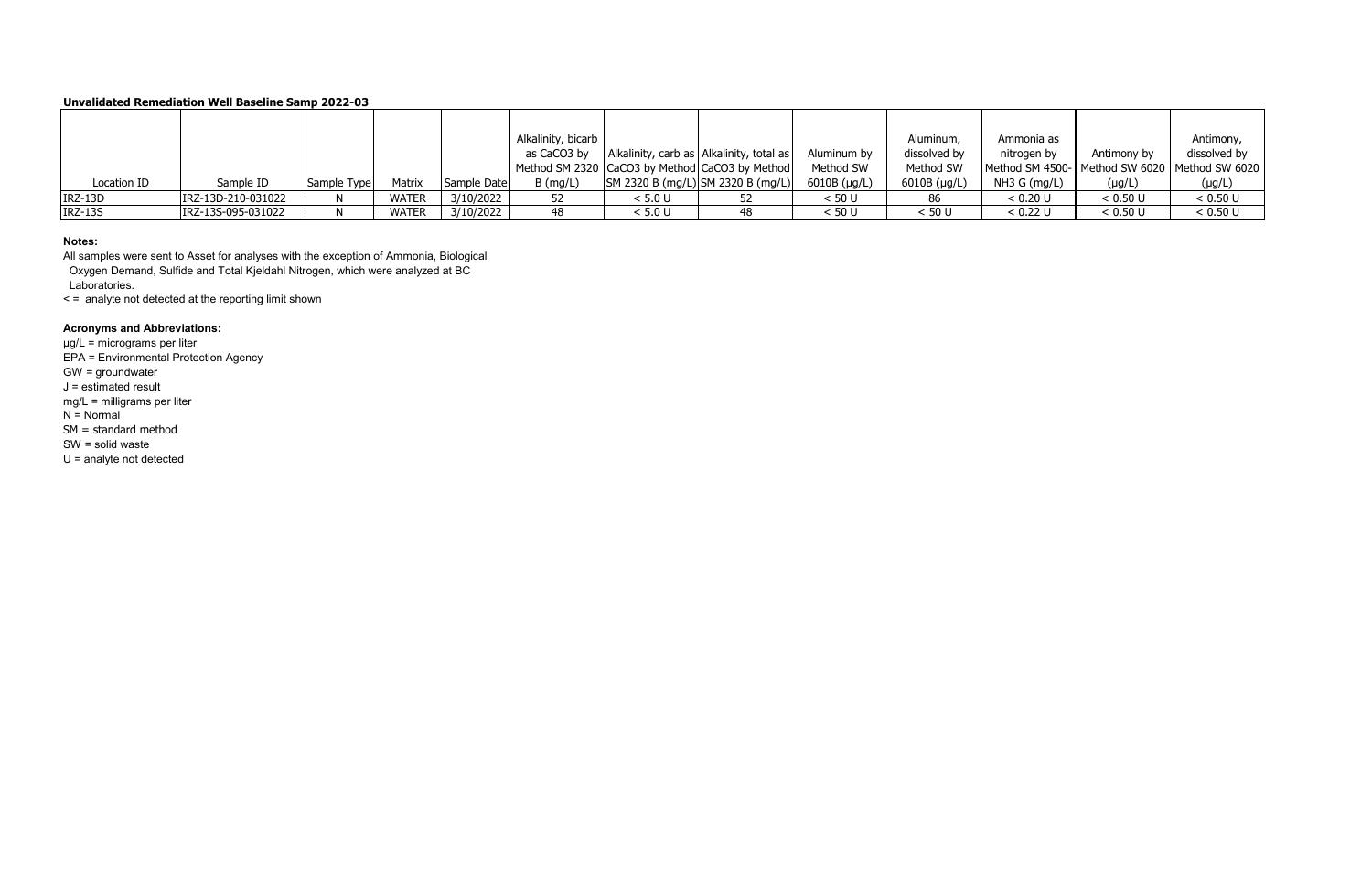|                |                    |             |              |             | Alkalinity, bicarb |         |                                                |                | Aluminum,            | Ammonia as                                    |             | Antimony,    |
|----------------|--------------------|-------------|--------------|-------------|--------------------|---------|------------------------------------------------|----------------|----------------------|-----------------------------------------------|-------------|--------------|
|                |                    |             |              |             | as CaCO3 by        |         | Alkalinity, carb as Alkalinity, total as       | Aluminum by    | dissolved by         | nitrogen by                                   | Antimony by | dissolved by |
|                |                    |             |              |             |                    |         | Method SM 2320 CaCO3 by Method CaCO3 by Method | Method SW      | Method SW            | Method SM 4500- Method SW 6020 Method SW 6020 |             |              |
| Location ID    | Sample ID          | Sample Type | Matrix       | Sample Date | $B$ (mg/L)         |         | SM 2320 B (mg/L) SM 2320 B (mg/L)              | $6010B$ (µg/L) | $6010B$ ( $\mu$ g/L) | NH3 G (mq/L)                                  | $(\mu g/L)$ | $(\mu g/L)$  |
| IRZ-13D        | IRZ-13D-210-031022 |             | <b>WATER</b> | 3/10/2022   |                    | < 5.0 U |                                                | < 50 U         | 86                   | < 0.20 U                                      | < 0.50 U    | < 0.50 U     |
| <b>IRZ-13S</b> | IRZ-13S-095-031022 |             | <b>WATER</b> | 3/10/2022   | 48                 | < 5.0 U |                                                | < 50 U         | < 50 U               | < 0.22 U                                      | < 0.50 U    | < 0.50 U     |

### **Notes:**

All samples were sent to Asset for analyses with the exception of Ammonia, Biological Oxygen Demand, Sulfide and Total Kjeldahl Nitrogen, which were analyzed at BC Laboratories.

< = analyte not detected at the reporting limit shown

# **Acronyms and Abbreviations:**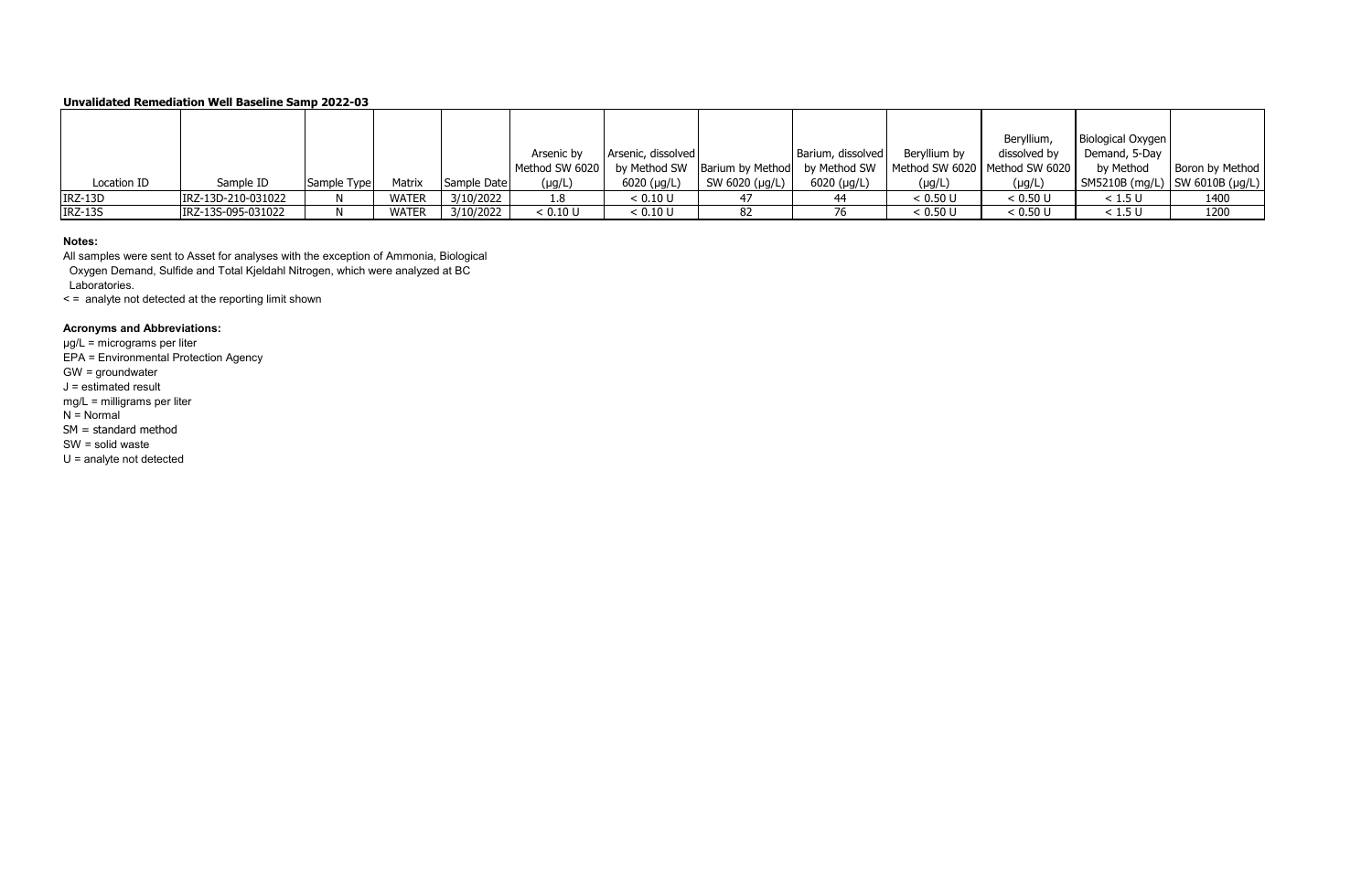### **Notes:**

All samples were sent to Asset for analyses with the exception of Ammonia, Biological Oxygen Demand, Sulfide and Total Kjeldahl Nitrogen, which were analyzed at BC Laboratories.

< = analyte not detected at the reporting limit shown

# **Acronyms and Abbreviations:**

|                |                    |             |              |             |                |                     |                |                                                                                  |              | Beryllium,   | Biological Oxygen                |                 |
|----------------|--------------------|-------------|--------------|-------------|----------------|---------------------|----------------|----------------------------------------------------------------------------------|--------------|--------------|----------------------------------|-----------------|
|                |                    |             |              |             | Arsenic by     | Arsenic, dissolved  |                | Barium, dissolved                                                                | Beryllium by | dissolved by | Demand, 5-Day                    |                 |
|                |                    |             |              |             | Method SW 6020 |                     |                | by Method SW   Barium by Method   by Method SW   Method SW 6020   Method SW 6020 |              |              | by Method                        | Boron by Method |
| Location ID    | Sample ID          | Sample Type | Matrix       | Sample Date | $(\mu g/L)$    | $6020 \; (\mu g/L)$ | SW 6020 (µg/L) | $6020$ ( $\mu$ g/L)                                                              | $(\mu g/L)$  | $(\mu g/L)$  | SM5210B (mg/L)   SW 6010B (µg/L) |                 |
| IRZ-13D        | IRZ-13D-210-031022 |             | <b>WATER</b> | 3/10/2022   |                | < 0.10 U            |                |                                                                                  | < 0.50 U     | < 0.50 U     | < 1.5 U                          | 1400            |
| <b>IRZ-13S</b> | IRZ-13S-095-031022 |             | <b>WATER</b> | 3/10/2022   | < 0.10 U       | < 0.10 U            | 82             |                                                                                  | < 0.50 U     | < 0.50 U     | < 1.5 U                          | 1200            |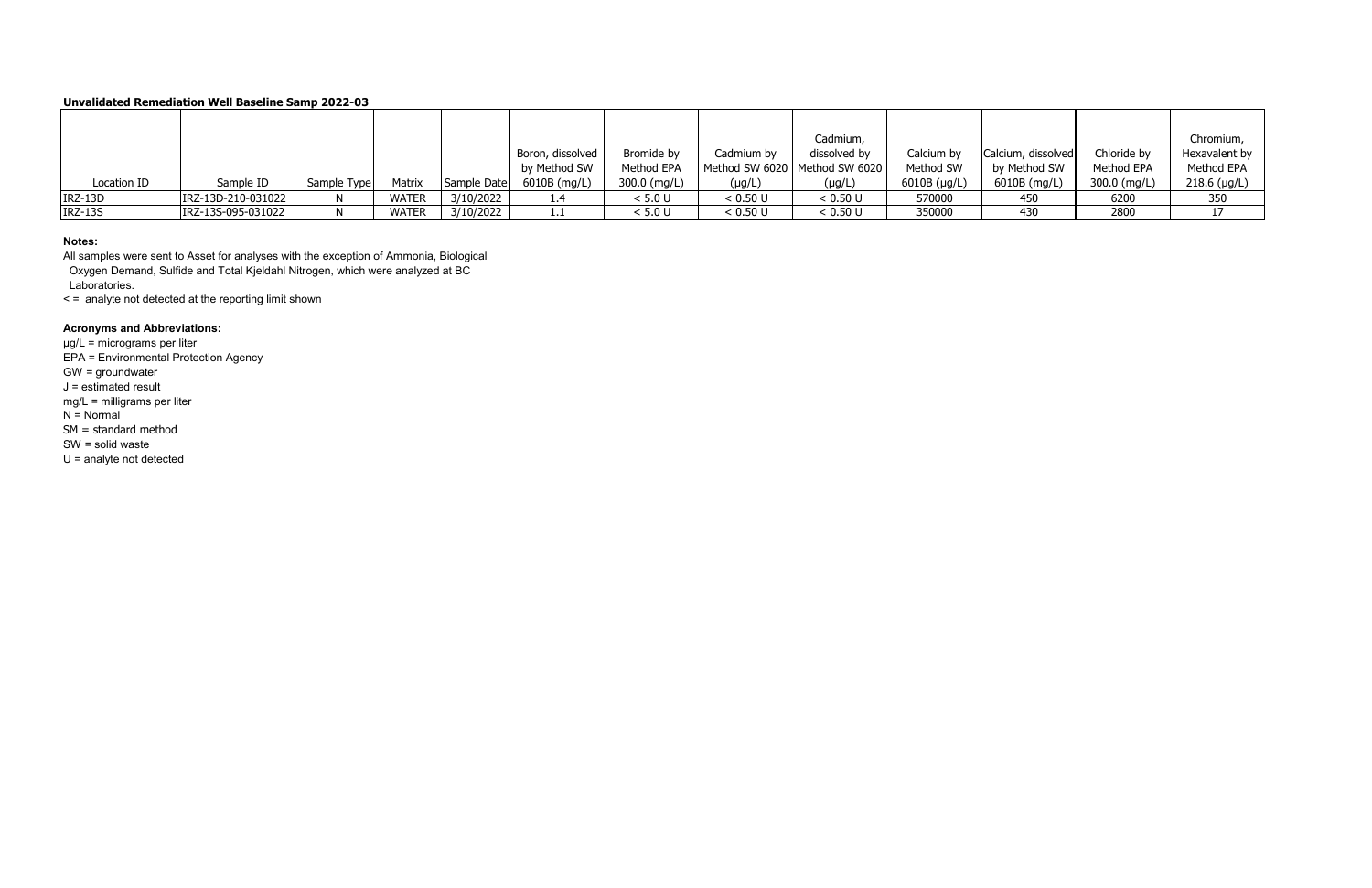### **Notes:**

All samples were sent to Asset for analyses with the exception of Ammonia, Biological Oxygen Demand, Sulfide and Total Kjeldahl Nitrogen, which were analyzed at BC Laboratories.

< = analyte not detected at the reporting limit shown

# **Acronyms and Abbreviations:**

|                |                    |             |              |             |                  |              |             | Cadmium,                        |                |                    |              | Chromium,     |
|----------------|--------------------|-------------|--------------|-------------|------------------|--------------|-------------|---------------------------------|----------------|--------------------|--------------|---------------|
|                |                    |             |              |             | Boron, dissolved | Bromide by   | Cadmium by  | dissolved by                    | Calcium by     | Calcium, dissolved | Chloride by  | Hexavalent by |
|                |                    |             |              |             | by Method SW     | Method EPA   |             | Method SW 6020   Method SW 6020 | Method SW      | by Method SW       | Method EPA   | Method EPA    |
| Location ID    | Sample ID          | Sample Type | Matrix       | Sample Date | 6010B (mg/L)     | 300.0 (mg/L) | $(\mu g/L)$ | $(\mu g/L)$                     | $6010B$ (µg/L) | 6010B (mg/L)       | 300.0 (mg/L) | 218.6 (µg/L)  |
| IRZ-13D        | IRZ-13D-210-031022 |             | <b>WATER</b> | 3/10/2022   |                  | < 5.0 U      | < 0.50 U    | < 0.50 U                        | 570000         | 450                | 6200         | 350           |
| <b>IRZ-13S</b> | IRZ-13S-095-031022 |             | <b>WATER</b> | 3/10/2022   |                  | < 5.0 U      | < 0.50 U    | < 0.50 U                        | 350000         | 430                | 2800         |               |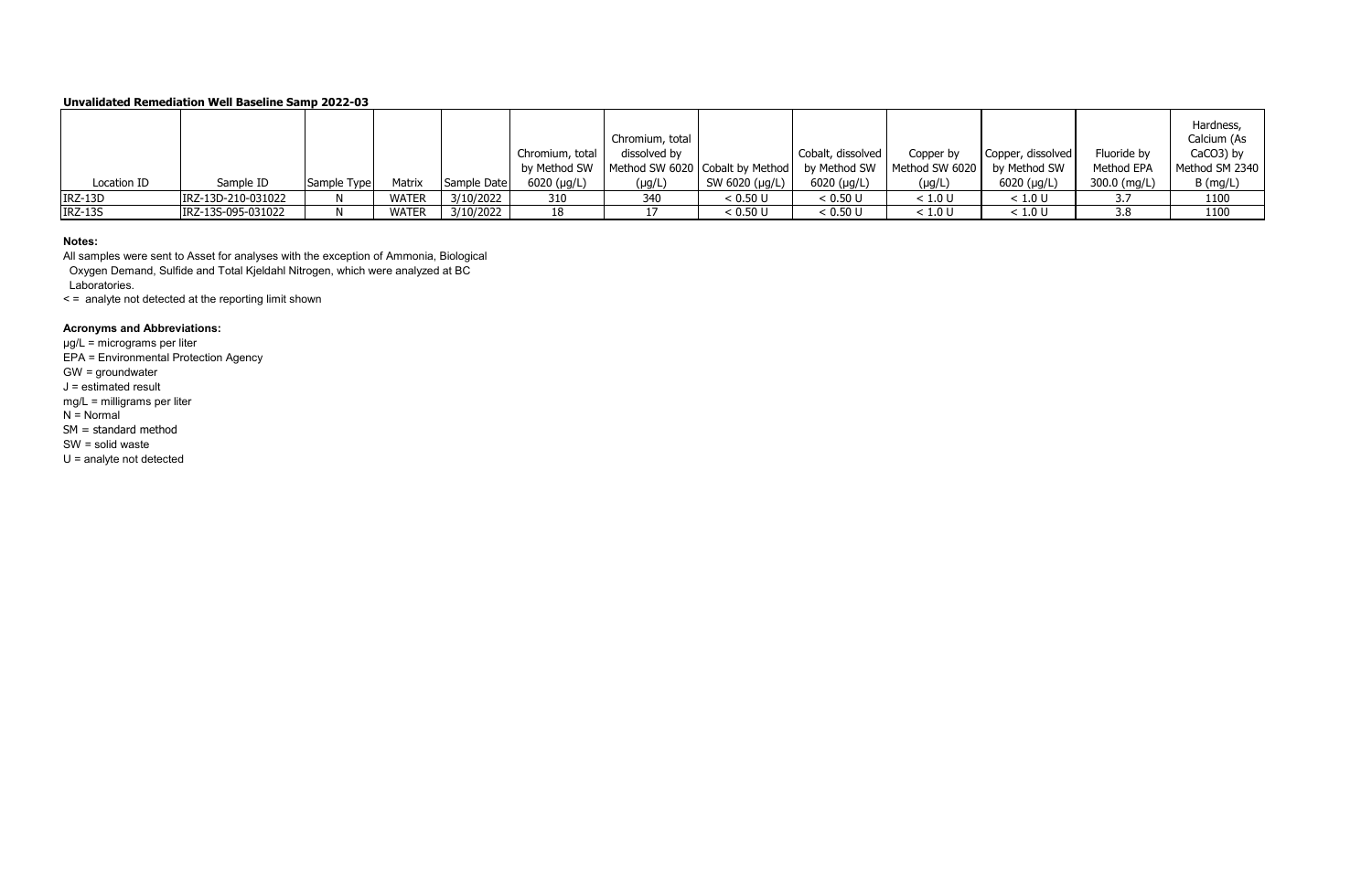### **Notes:**

All samples were sent to Asset for analyses with the exception of Ammonia, Biological Oxygen Demand, Sulfide and Total Kjeldahl Nitrogen, which were analyzed at BC Laboratories.

< = analyte not detected at the reporting limit shown

## **Acronyms and Abbreviations:**

|                |                    |             |              |             |                 | Chromium, total                              |                |                     |                |                   |              | Hardness,<br>Calcium (As |
|----------------|--------------------|-------------|--------------|-------------|-----------------|----------------------------------------------|----------------|---------------------|----------------|-------------------|--------------|--------------------------|
|                |                    |             |              |             | Chromium, total | dissolved by                                 |                | Cobalt, dissolved   | Copper by      | Copper, dissolved | Fluoride by  | CaCO3) by                |
|                |                    |             |              |             | by Method SW    | Method SW 6020 Cobalt by Method by Method SW |                |                     | Method SW 6020 | by Method SW      | Method EPA   | Method SM 2340           |
| Location ID    | Sample ID          | Sample Type | Matrix       | Sample Date | $6020$ (µg/L)   | $(\mu g/L)$                                  | SW 6020 (µg/L) | $6020$ ( $\mu$ g/L) | $(\mu g/L)$    | $6020$ (µg/L)     | 300.0 (mg/L) | $B$ (mg/L)               |
| IRZ-13D        | IRZ-13D-210-031022 |             | <b>WATER</b> | 3/10/2022   | 310             | 340                                          | < 0.50 U       | < 0.50 U            | < 1.0 U        | < 1.0 U           |              | 1100                     |
| <b>IRZ-13S</b> | IRZ-13S-095-031022 |             | <b>WATER</b> | 3/10/2022   | 18              |                                              | < 0.50 U       | < 0.50 U            | < 1.0 U        | < 1.0 U           | 3.8          | 1100                     |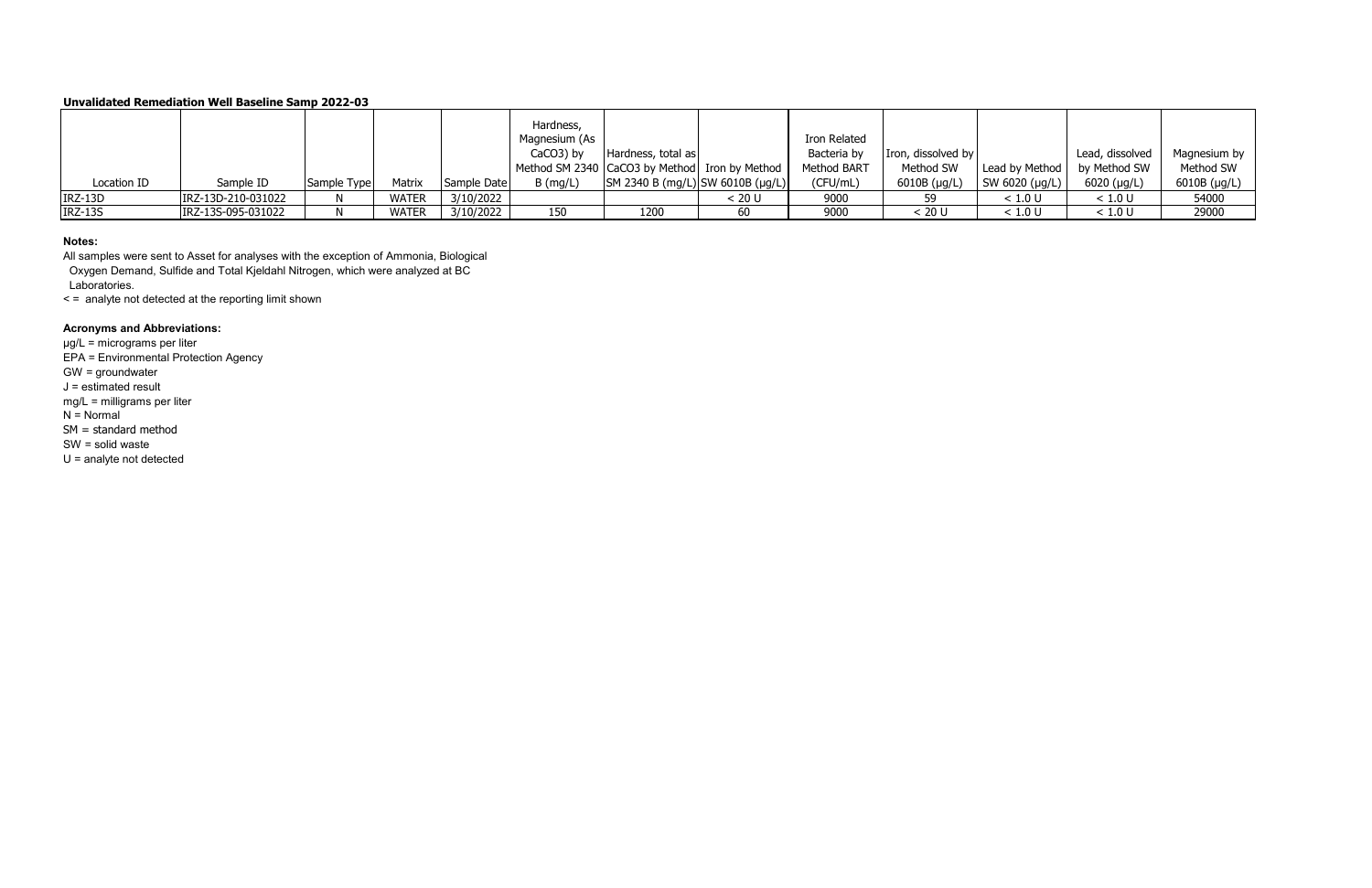### **Notes:**

All samples were sent to Asset for analyses with the exception of Ammonia, Biological Oxygen Demand, Sulfide and Total Kjeldahl Nitrogen, which were analyzed at BC Laboratories.

< = analyte not detected at the reporting limit shown

# **Acronyms and Abbreviations:**

|             |                    |             |              |             | Hardness,<br>Magnesium (As |                                                          |        | Iron Related       |                    |                               |                 |              |
|-------------|--------------------|-------------|--------------|-------------|----------------------------|----------------------------------------------------------|--------|--------------------|--------------------|-------------------------------|-----------------|--------------|
|             |                    |             |              |             | $CaCO3$ ) by               | Hardness, total as                                       |        | Bacteria by        | Iron, dissolved by |                               | Lead, dissolved | Magnesium by |
|             |                    |             |              |             |                            | Method SM 2340 CaCO3 by Method Iron by Method            |        | <b>Method BART</b> | Method SW          | Lead by Method   by Method SW |                 | Method SW    |
| Location ID | Sample ID          | Sample Type | Matrix       | Sample Date | $B$ (mg/L)                 | $\vert$ SM 2340 B (mg/L) $\vert$ SW 6010B (µg/L) $\vert$ |        | (CFU/mL)           | 6010B (µg/L)       | SW 6020 ( $\mu$ g/L)          | $6020$ (µg/L)   | 6010B (µg/L) |
| $IRZ-13D$   | IRZ-13D-210-031022 |             | WATER        | 3/10/2022   |                            |                                                          | < 20 U | 9000               | 59                 | < 1.0 U                       | < 1.0 U         | 54000        |
| IRZ-13S     | IRZ-13S-095-031022 |             | <b>WATER</b> | 3/10/2022   | 150                        | 1200                                                     |        | 9000               | < 20 U             | < 1.0 U                       | < 1.0 U         | 29000        |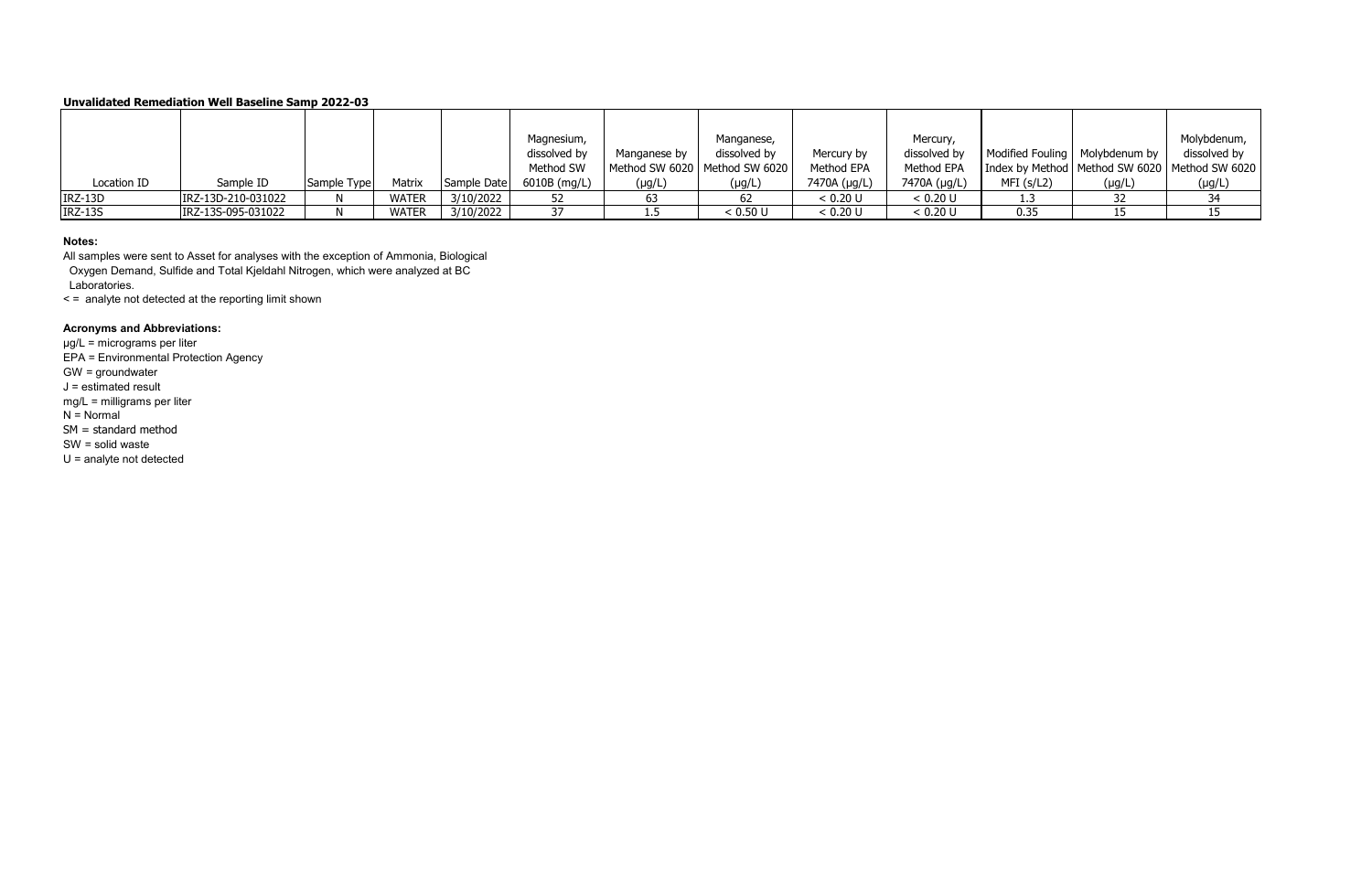### **Notes:**

All samples were sent to Asset for analyses with the exception of Ammonia, Biological Oxygen Demand, Sulfide and Total Kjeldahl Nitrogen, which were analyzed at BC Laboratories.

< = analyte not detected at the reporting limit shown

## **Acronyms and Abbreviations:**

|                |                    |             |        |             | Magnesium,     |              | Manganese,                      |              | Mercury,     |            |                                  | Molybdenum,                                       |
|----------------|--------------------|-------------|--------|-------------|----------------|--------------|---------------------------------|--------------|--------------|------------|----------------------------------|---------------------------------------------------|
|                |                    |             |        |             | dissolved by   | Manganese by | dissolved by                    | Mercury by   | dissolved by |            | Modified Fouling   Molybdenum by | dissolved by                                      |
|                |                    |             |        |             | Method SW      |              | Method SW 6020   Method SW 6020 | Method EPA   | Method EPA   |            |                                  | Index by Method   Method SW 6020   Method SW 6020 |
| Location ID    | Sample ID          | Sample Type | Matrix | Sample Date | $6010B$ (mg/L) | $(\mu g/L)$  | (µg/L                           | 7470A (µg/L) | 7470A (µg/L) | MFI (s/L2) | $(\mu g/L)$                      | $(\mu g/L)$                                       |
| IRZ-13D        | IRZ-13D-210-031022 |             | WATER  | 3/10/2022   |                |              |                                 | < 0.20 U     | < 0.20 U     | د. 1       |                                  |                                                   |
| <b>IRZ-13S</b> | IRZ-13S-095-031022 |             | WATER  | 3/10/2022   |                |              | < 0.50 U                        | < 0.20 U     | < 0.20 U     | 0.35       |                                  |                                                   |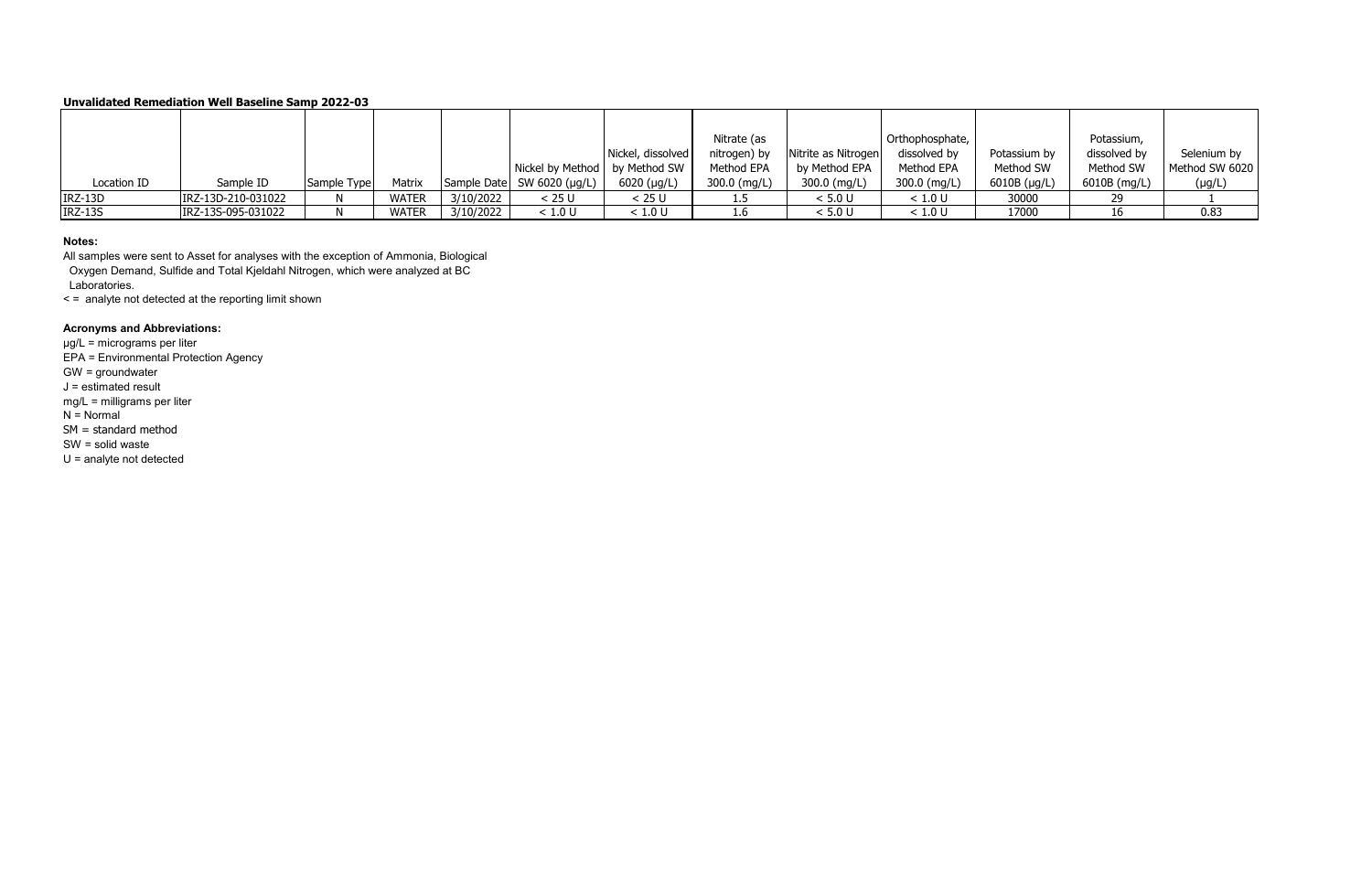### **Notes:**

All samples were sent to Asset for analyses with the exception of Ammonia, Biological Oxygen Demand, Sulfide and Total Kjeldahl Nitrogen, which were analyzed at BC Laboratories.

< = analyte not detected at the reporting limit shown

## **Acronyms and Abbreviations:**

|                |                    |             |        |           |                                 |                   | Nitrate (as  |                     | Orthophosphate, |                   | Potassium,   |                |
|----------------|--------------------|-------------|--------|-----------|---------------------------------|-------------------|--------------|---------------------|-----------------|-------------------|--------------|----------------|
|                |                    |             |        |           |                                 | Nickel, dissolved | nitrogen) by | Nitrite as Nitrogen | dissolved by    | Potassium by      | dissolved by | Selenium by    |
|                |                    |             |        |           | Nickel by Method   by Method SW |                   | Method EPA   | by Method EPA       | Method EPA      | Method SW         | Method SW    | Method SW 6020 |
| Location ID    | Sample ID          | Sample Type | Matrix |           | Sample Date SW 6020 (µg/L)      | $6020$ (µg/L)     | 300.0 (mg/L) | 300.0 (mg/L)        | $300.0$ (mg/L)  | 6010B $(\mu g/L)$ | 6010B (mg/L) | $(\mu g/L)$    |
| IRZ-13D        | IRZ-13D-210-031022 |             | WATER  | 3/10/2022 | < 25U                           | < 25 U            |              | < 5.0 U             | < 1.0 U         | 30000             | חר           |                |
| <b>IRZ-13S</b> | IRZ-13S-095-031022 |             | WATER  | 3/10/2022 | < 1.0 U                         | : 1.0 U           | 1.6          | < 5.0 U             | < 1.0 U         | 17000             | 16           | 0.83           |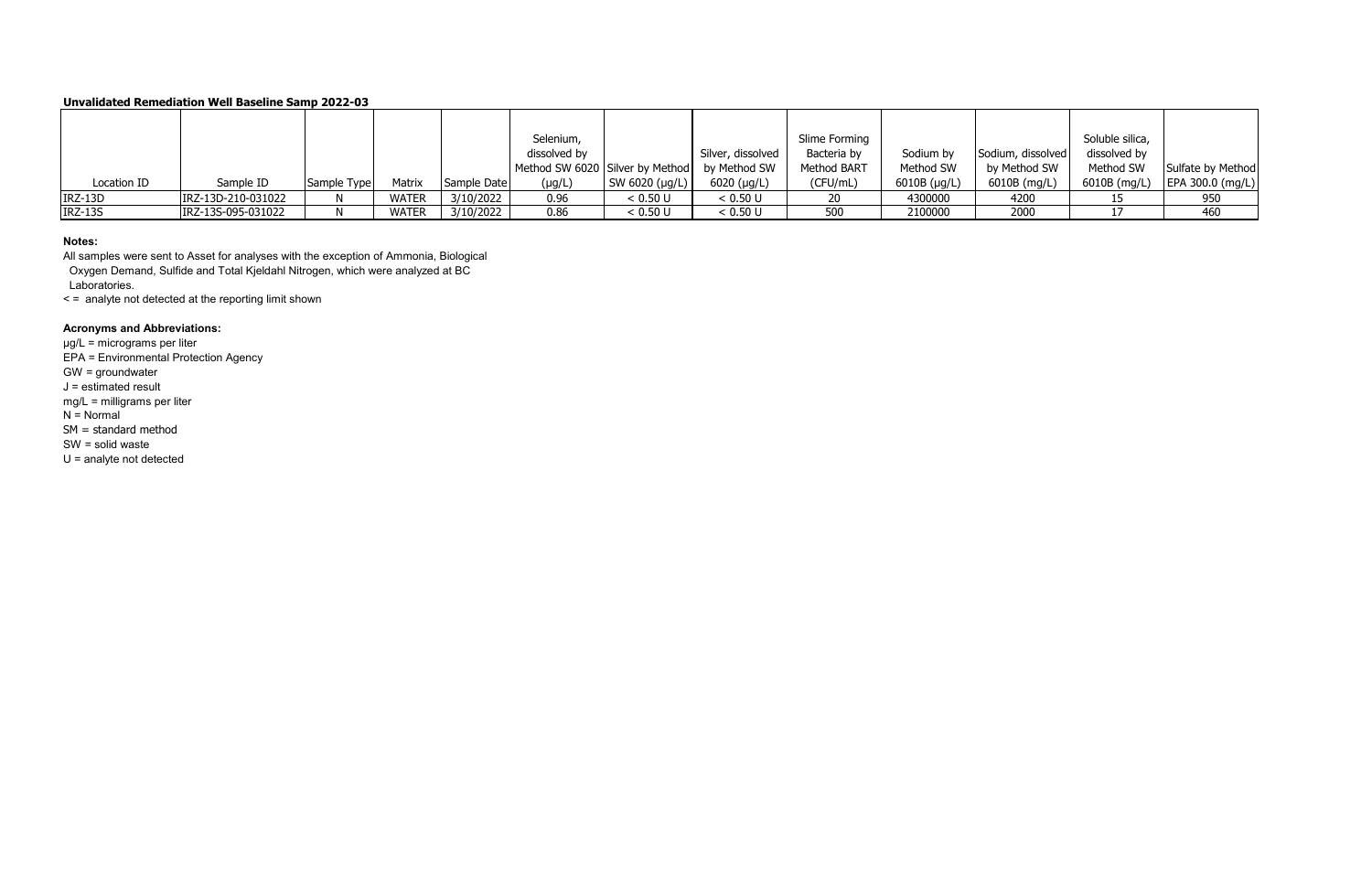### **Notes:**

All samples were sent to Asset for analyses with the exception of Ammonia, Biological Oxygen Demand, Sulfide and Total Kjeldahl Nitrogen, which were analyzed at BC Laboratories.

< = analyte not detected at the reporting limit shown

# **Acronyms and Abbreviations:**

|                |                    |             |               |             | Selenium,                                    |                |                   | Slime Forming |                |                   | Soluble silica, |                   |
|----------------|--------------------|-------------|---------------|-------------|----------------------------------------------|----------------|-------------------|---------------|----------------|-------------------|-----------------|-------------------|
|                |                    |             |               |             | dissolved by                                 |                | Silver, dissolved | Bacteria by   | Sodium by      | Sodium, dissolved | dissolved by    |                   |
|                |                    |             |               |             | Method SW 6020 Silver by Method by Method SW |                |                   | Method BART   | Method SW      | by Method SW      | Method SW       | Sulfate by Method |
| Location ID    | Sample ID          | Sample Type | <b>Matrix</b> | Sample Date | $(\mu g/L)$                                  | SW 6020 (µg/L) | $6020$ (µg/L)     | (CFU/mL)      | $6010B$ (µg/L) | 6010B (mg/L)      | 6010B (mg/L)    | EPA 300.0 (mg/L)  |
| IRZ-13D        | IRZ-13D-210-031022 |             | <b>WATER</b>  | 3/10/2022   | 0.96                                         | < 0.50 U       | < 0.50 U          | 20            | 4300000        | 4200              |                 | 950               |
| <b>IRZ-13S</b> | IRZ-13S-095-031022 |             | <b>WATER</b>  | 3/10/2022   | 0.86                                         | < 0.50 U       | < 0.50 U          | 500           | 2100000        | 2000              |                 | 460               |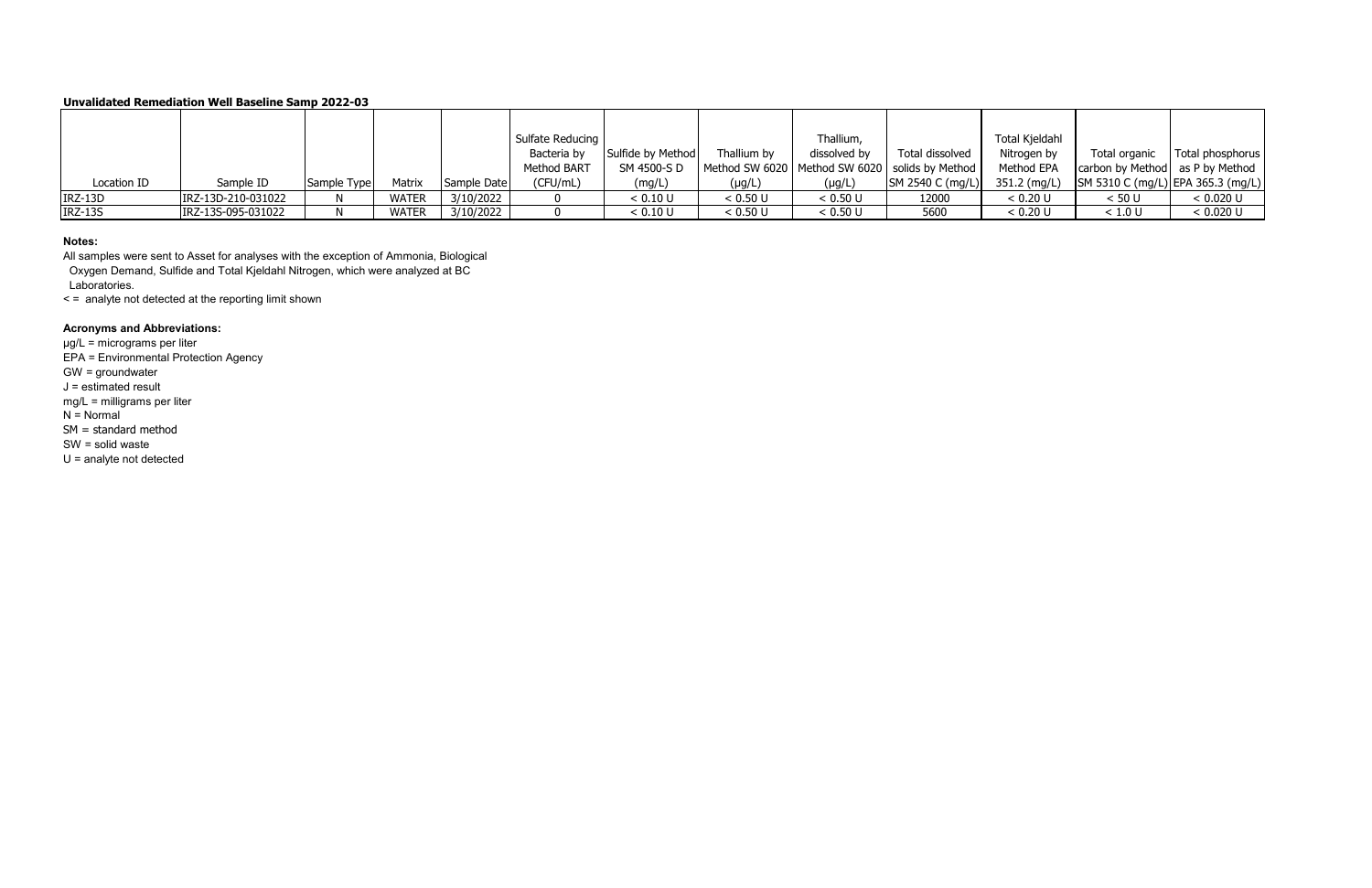### **Notes:**

All samples were sent to Asset for analyses with the exception of Ammonia, Biological Oxygen Demand, Sulfide and Total Kjeldahl Nitrogen, which were analyzed at BC Laboratories.

< = analyte not detected at the reporting limit shown

# **Acronyms and Abbreviations:**

|                |                    |             |              |             | Sulfate Reducing   |                   |             | Thallium,    |                                                    | Total Kjeldahl |                                   |                  |
|----------------|--------------------|-------------|--------------|-------------|--------------------|-------------------|-------------|--------------|----------------------------------------------------|----------------|-----------------------------------|------------------|
|                |                    |             |              |             | Bacteria by        | Sulfide by Method | Thallium by | dissolved by | Total dissolved                                    | Nitrogen by    | Total organic                     | Total phosphorus |
|                |                    |             |              |             | <b>Method BART</b> | SM 4500-S D       |             |              | Method SW 6020   Method SW 6020   solids by Method | Method EPA     | carbon by Method as P by Method   |                  |
| Location ID    | Sample ID          | Sample Type | Matrix       | Sample Date | (CFU/mL)           | (mg/L)            | $(\mu g/L)$ | $(\mu g/L)$  | SM 2540 C (mg/L)                                   | 351.2 (mg/L)   | SM 5310 C (mg/L) EPA 365.3 (mg/L) |                  |
| IRZ-13D        | IRZ-13D-210-031022 |             | <b>WATER</b> | 3/10/2022   |                    | < 0.10 U          | < 0.50 U    | < 0.50 U     | 12000                                              | < 0.20 U       | < 50 U                            | < 0.020 U        |
| <b>IRZ-13S</b> | IRZ-13S-095-031022 |             | <b>WATER</b> | 3/10/2022   |                    | < 0.10 U          | < 0.50 U    | < 0.50 U     | 5600                                               | < 0.20 U       | < 1.0 U                           | < 0.020 U        |